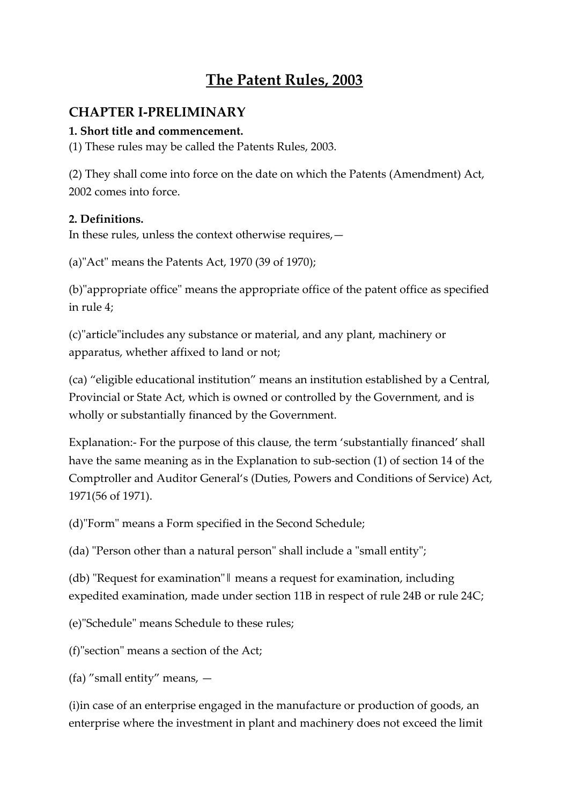# **The Patent Rules, 2003**

## **CHAPTER I-PRELIMINARY**

### **1. Short title and commencement.**

(1) These rules may be called the Patents Rules, 2003.

(2) They shall come into force on the date on which the Patents (Amendment) Act, 2002 comes into force.

#### **2. Definitions.**

In these rules, unless the context otherwise requires,—

(a)"Act" means the Patents Act, 1970 (39 of 1970);

(b)"appropriate office" means the appropriate office of the patent office as specified in rule 4;

(c)"article"includes any substance or material, and any plant, machinery or apparatus, whether affixed to land or not;

(ca) "eligible educational institution" means an institution established by a Central, Provincial or State Act, which is owned or controlled by the Government, and is wholly or substantially financed by the Government.

Explanation:- For the purpose of this clause, the term 'substantially financed' shall have the same meaning as in the Explanation to sub-section (1) of section 14 of the Comptroller and Auditor General's (Duties, Powers and Conditions of Service) Act, 1971(56 of 1971).

(d)"Form" means a Form specified in the Second Schedule;

(da) "Person other than a natural person" shall include a "small entity";

(db) "Request for examination"‖ means a request for examination, including expedited examination, made under section 11B in respect of rule 24B or rule 24C;

(e)"Schedule" means Schedule to these rules;

(f)"section" means a section of the Act;

(fa) "small entity" means, —

(i)in case of an enterprise engaged in the manufacture or production of goods, an enterprise where the investment in plant and machinery does not exceed the limit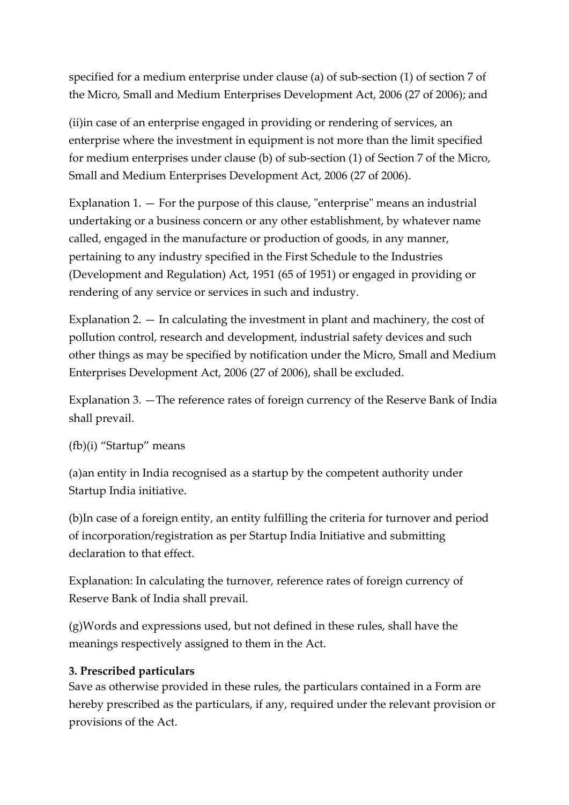specified for a medium enterprise under clause (a) of sub-section (1) of section 7 of the Micro, Small and Medium Enterprises Development Act, 2006 (27 of 2006); and

(ii)in case of an enterprise engaged in providing or rendering of services, an enterprise where the investment in equipment is not more than the limit specified for medium enterprises under clause (b) of sub-section (1) of Section 7 of the Micro, Small and Medium Enterprises Development Act, 2006 (27 of 2006).

Explanation 1. — For the purpose of this clause, "enterprise" means an industrial undertaking or a business concern or any other establishment, by whatever name called, engaged in the manufacture or production of goods, in any manner, pertaining to any industry specified in the First Schedule to the Industries (Development and Regulation) Act, 1951 (65 of 1951) or engaged in providing or rendering of any service or services in such and industry.

Explanation 2. — In calculating the investment in plant and machinery, the cost of pollution control, research and development, industrial safety devices and such other things as may be specified by notification under the Micro, Small and Medium Enterprises Development Act, 2006 (27 of 2006), shall be excluded.

Explanation 3. —The reference rates of foreign currency of the Reserve Bank of India shall prevail.

#### (fb)(i) "Startup" means

(a)an entity in India recognised as a startup by the competent authority under Startup India initiative.

(b)In case of a foreign entity, an entity fulfilling the criteria for turnover and period of incorporation/registration as per Startup India Initiative and submitting declaration to that effect.

Explanation: In calculating the turnover, reference rates of foreign currency of Reserve Bank of India shall prevail.

(g)Words and expressions used, but not defined in these rules, shall have the meanings respectively assigned to them in the Act.

#### **3. Prescribed particulars**

Save as otherwise provided in these rules, the particulars contained in a Form are hereby prescribed as the particulars, if any, required under the relevant provision or provisions of the Act.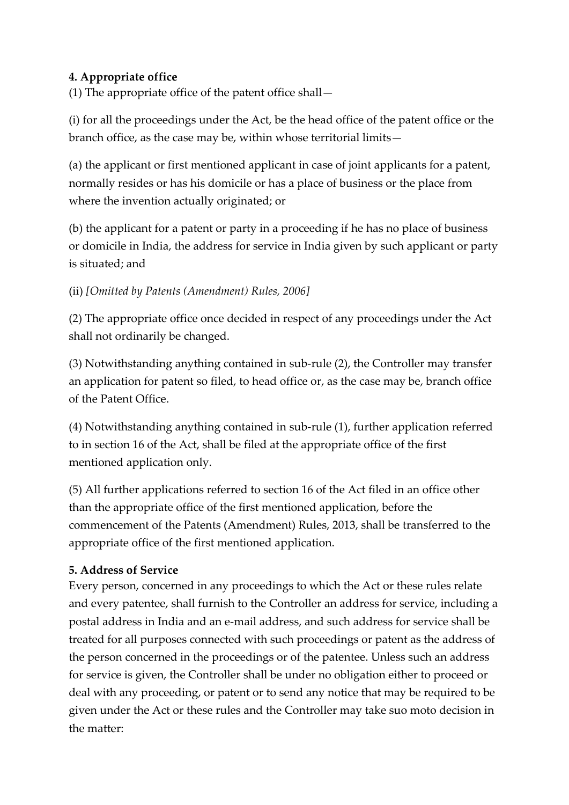### **4. Appropriate office**

(1) The appropriate office of the patent office shall—

(i) for all the proceedings under the Act, be the head office of the patent office or the branch office, as the case may be, within whose territorial limits—

(a) the applicant or first mentioned applicant in case of joint applicants for a patent, normally resides or has his domicile or has a place of business or the place from where the invention actually originated; or

(b) the applicant for a patent or party in a proceeding if he has no place of business or domicile in India, the address for service in India given by such applicant or party is situated; and

#### (ii) *[Omitted by Patents (Amendment) Rules, 2006]*

(2) The appropriate office once decided in respect of any proceedings under the Act shall not ordinarily be changed.

(3) Notwithstanding anything contained in sub-rule (2), the Controller may transfer an application for patent so filed, to head office or, as the case may be, branch office of the Patent Office.

(4) Notwithstanding anything contained in sub-rule (1), further application referred to in section 16 of the Act, shall be filed at the appropriate office of the first mentioned application only.

(5) All further applications referred to section 16 of the Act filed in an office other than the appropriate office of the first mentioned application, before the commencement of the Patents (Amendment) Rules, 2013, shall be transferred to the appropriate office of the first mentioned application.

## **5. Address of Service**

Every person, concerned in any proceedings to which the Act or these rules relate and every patentee, shall furnish to the Controller an address for service, including a postal address in India and an e-mail address, and such address for service shall be treated for all purposes connected with such proceedings or patent as the address of the person concerned in the proceedings or of the patentee. Unless such an address for service is given, the Controller shall be under no obligation either to proceed or deal with any proceeding, or patent or to send any notice that may be required to be given under the Act or these rules and the Controller may take suo moto decision in the matter: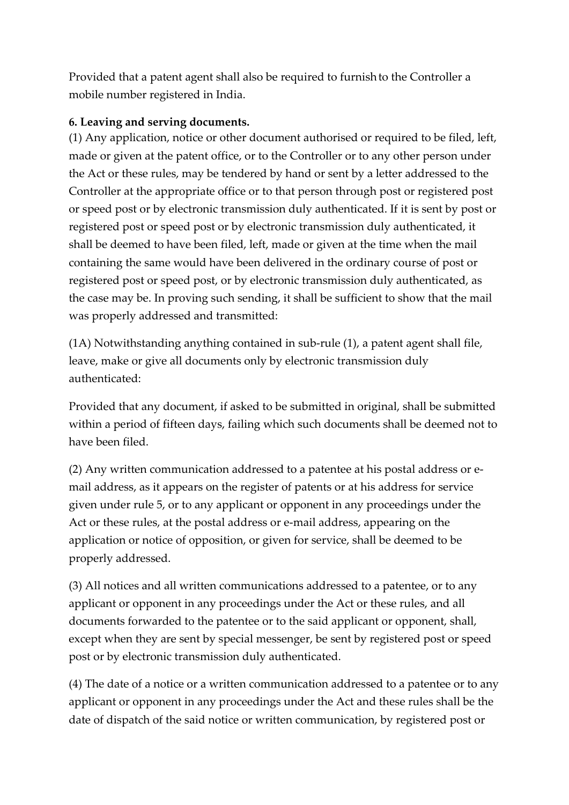Provided that a patent agent shall also be required to furnishto the Controller a mobile number registered in India.

#### **6. Leaving and serving documents.**

(1) Any application, notice or other document authorised or required to be filed, left, made or given at the patent office, or to the Controller or to any other person under the Act or these rules, may be tendered by hand or sent by a letter addressed to the Controller at the appropriate office or to that person through post or registered post or speed post or by electronic transmission duly authenticated. If it is sent by post or registered post or speed post or by electronic transmission duly authenticated, it shall be deemed to have been filed, left, made or given at the time when the mail containing the same would have been delivered in the ordinary course of post or registered post or speed post, or by electronic transmission duly authenticated, as the case may be. In proving such sending, it shall be sufficient to show that the mail was properly addressed and transmitted:

(1A) Notwithstanding anything contained in sub-rule (1), a patent agent shall file, leave, make or give all documents only by electronic transmission duly authenticated:

Provided that any document, if asked to be submitted in original, shall be submitted within a period of fifteen days, failing which such documents shall be deemed not to have been filed.

(2) Any written communication addressed to a patentee at his postal address or email address, as it appears on the register of patents or at his address for service given under rule 5, or to any applicant or opponent in any proceedings under the Act or these rules, at the postal address or e-mail address, appearing on the application or notice of opposition, or given for service, shall be deemed to be properly addressed.

(3) All notices and all written communications addressed to a patentee, or to any applicant or opponent in any proceedings under the Act or these rules, and all documents forwarded to the patentee or to the said applicant or opponent, shall, except when they are sent by special messenger, be sent by registered post or speed post or by electronic transmission duly authenticated.

(4) The date of a notice or a written communication addressed to a patentee or to any applicant or opponent in any proceedings under the Act and these rules shall be the date of dispatch of the said notice or written communication, by registered post or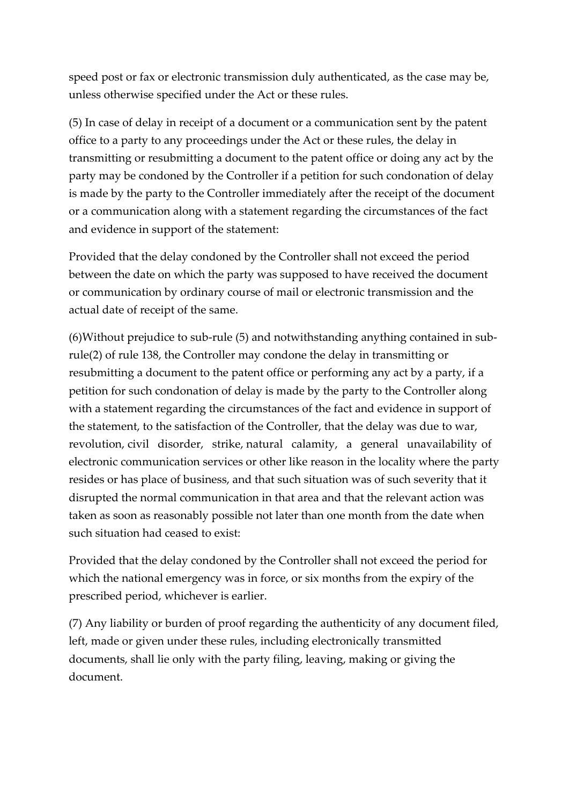speed post or fax or electronic transmission duly authenticated, as the case may be, unless otherwise specified under the Act or these rules.

(5) In case of delay in receipt of a document or a communication sent by the patent office to a party to any proceedings under the Act or these rules, the delay in transmitting or resubmitting a document to the patent office or doing any act by the party may be condoned by the Controller if a petition for such condonation of delay is made by the party to the Controller immediately after the receipt of the document or a communication along with a statement regarding the circumstances of the fact and evidence in support of the statement:

Provided that the delay condoned by the Controller shall not exceed the period between the date on which the party was supposed to have received the document or communication by ordinary course of mail or electronic transmission and the actual date of receipt of the same.

(6)Without prejudice to sub-rule (5) and notwithstanding anything contained in subrule(2) of rule 138, the Controller may condone the delay in transmitting or resubmitting a document to the patent office or performing any act by a party, if a petition for such condonation of delay is made by the party to the Controller along with a statement regarding the circumstances of the fact and evidence in support of the statement, to the satisfaction of the Controller, that the delay was due to war, revolution, civil disorder, strike, natural calamity, a general unavailability of electronic communication services or other like reason in the locality where the party resides or has place of business, and that such situation was of such severity that it disrupted the normal communication in that area and that the relevant action was taken as soon as reasonably possible not later than one month from the date when such situation had ceased to exist:

Provided that the delay condoned by the Controller shall not exceed the period for which the national emergency was in force, or six months from the expiry of the prescribed period, whichever is earlier.

(7) Any liability or burden of proof regarding the authenticity of any document filed, left, made or given under these rules, including electronically transmitted documents, shall lie only with the party filing, leaving, making or giving the document.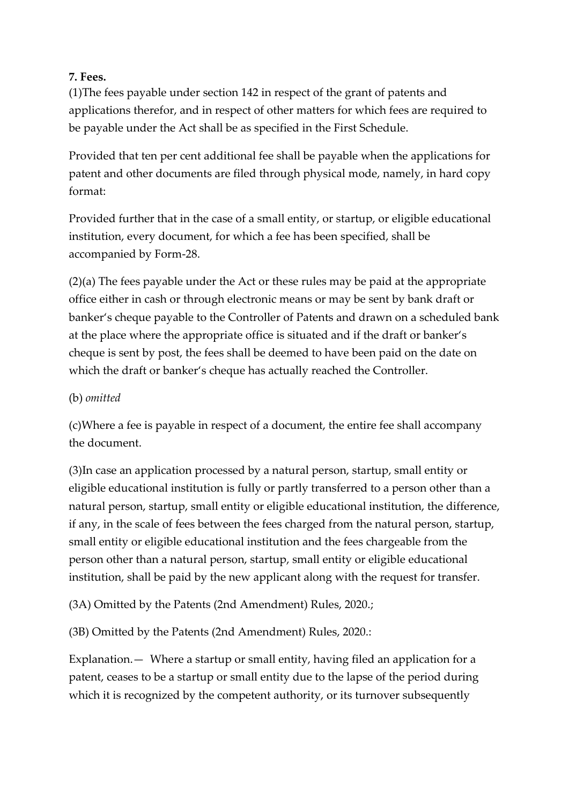#### **7. Fees.**

(1)The fees payable under section 142 in respect of the grant of patents and applications therefor, and in respect of other matters for which fees are required to be payable under the Act shall be as specified in the First Schedule.

Provided that ten per cent additional fee shall be payable when the applications for patent and other documents are filed through physical mode, namely, in hard copy format:

Provided further that in the case of a small entity, or startup, or eligible educational institution, every document, for which a fee has been specified, shall be accompanied by Form-28.

(2)(a) The fees payable under the Act or these rules may be paid at the appropriate office either in cash or through electronic means or may be sent by bank draft or banker's cheque payable to the Controller of Patents and drawn on a scheduled bank at the place where the appropriate office is situated and if the draft or banker's cheque is sent by post, the fees shall be deemed to have been paid on the date on which the draft or banker's cheque has actually reached the Controller.

## (b) *omitted*

(c)Where a fee is payable in respect of a document, the entire fee shall accompany the document.

(3)In case an application processed by a natural person, startup, small entity or eligible educational institution is fully or partly transferred to a person other than a natural person, startup, small entity or eligible educational institution, the difference, if any, in the scale of fees between the fees charged from the natural person, startup, small entity or eligible educational institution and the fees chargeable from the person other than a natural person, startup, small entity or eligible educational institution, shall be paid by the new applicant along with the request for transfer.

(3A) Omitted by the Patents (2nd Amendment) Rules, 2020.;

(3B) Omitted by the Patents (2nd Amendment) Rules, 2020.:

Explanation.— Where a startup or small entity, having filed an application for a patent, ceases to be a startup or small entity due to the lapse of the period during which it is recognized by the competent authority, or its turnover subsequently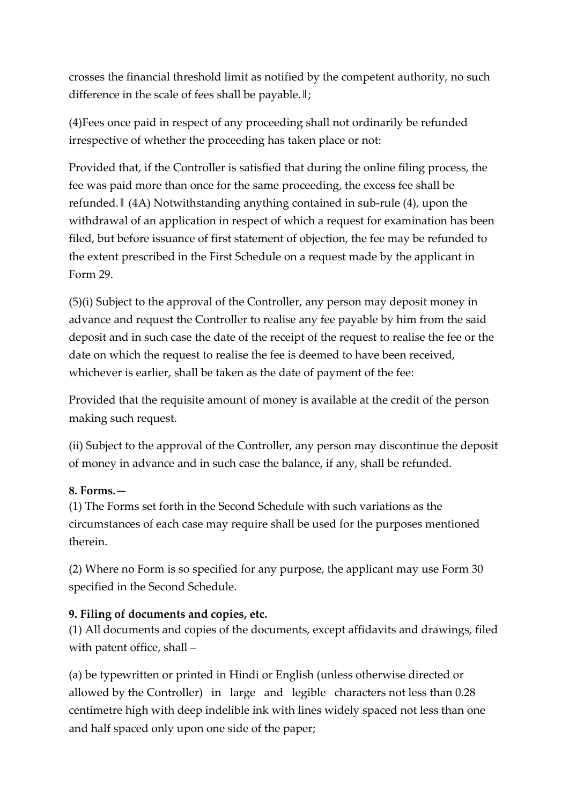crosses the financial threshold limit as notified by the competent authority, no such difference in the scale of fees shall be payable.‖;

(4)Fees once paid in respect of any proceeding shall not ordinarily be refunded irrespective of whether the proceeding has taken place or not:

Provided that, if the Controller is satisfied that during the online filing process, the fee was paid more than once for the same proceeding, the excess fee shall be refunded.‖ (4A) Notwithstanding anything contained in sub-rule (4), upon the withdrawal of an application in respect of which a request for examination has been filed, but before issuance of first statement of objection, the fee may be refunded to the extent prescribed in the First Schedule on a request made by the applicant in Form 29.

(5)(i) Subject to the approval of the Controller, any person may deposit money in advance and request the Controller to realise any fee payable by him from the said deposit and in such case the date of the receipt of the request to realise the fee or the date on which the request to realise the fee is deemed to have been received, whichever is earlier, shall be taken as the date of payment of the fee:

Provided that the requisite amount of money is available at the credit of the person making such request.

(ii) Subject to the approval of the Controller, any person may discontinue the deposit of money in advance and in such case the balance, if any, shall be refunded.

#### **8. Forms.—**

(1) The Forms set forth in the Second Schedule with such variations as the circumstances of each case may require shall be used for the purposes mentioned therein.

(2) Where no Form is so specified for any purpose, the applicant may use Form 30 specified in the Second Schedule.

## **9. Filing of documents and copies, etc.**

(1) All documents and copies of the documents, except affidavits and drawings, filed with patent office, shall –

(a) be typewritten or printed in Hindi or English (unless otherwise directed or allowed by the Controller) in large and legible characters not less than 0.28 centimetre high with deep indelible ink with lines widely spaced not less than one and half spaced only upon one side of the paper;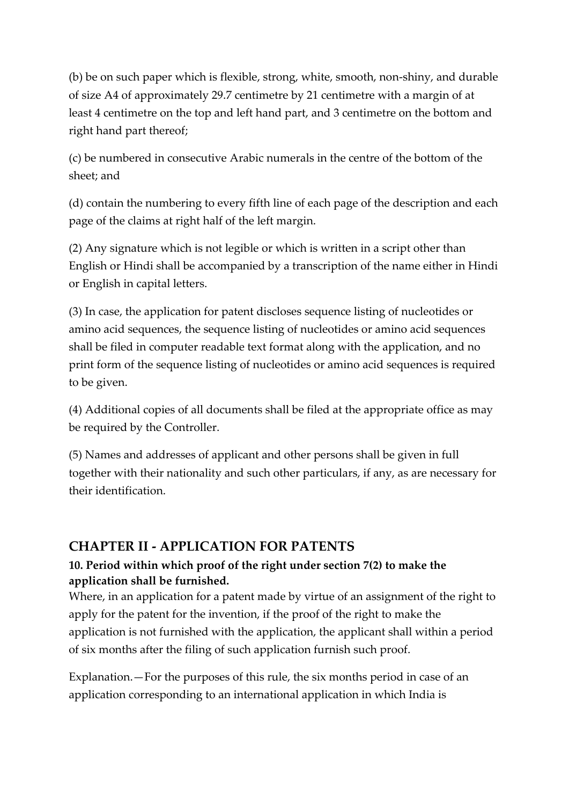(b) be on such paper which is flexible, strong, white, smooth, non-shiny, and durable of size A4 of approximately 29.7 centimetre by 21 centimetre with a margin of at least 4 centimetre on the top and left hand part, and 3 centimetre on the bottom and right hand part thereof;

(c) be numbered in consecutive Arabic numerals in the centre of the bottom of the sheet; and

(d) contain the numbering to every fifth line of each page of the description and each page of the claims at right half of the left margin.

(2) Any signature which is not legible or which is written in a script other than English or Hindi shall be accompanied by a transcription of the name either in Hindi or English in capital letters.

(3) In case, the application for patent discloses sequence listing of nucleotides or amino acid sequences, the sequence listing of nucleotides or amino acid sequences shall be filed in computer readable text format along with the application, and no print form of the sequence listing of nucleotides or amino acid sequences is required to be given.

(4) Additional copies of all documents shall be filed at the appropriate office as may be required by the Controller.

(5) Names and addresses of applicant and other persons shall be given in full together with their nationality and such other particulars, if any, as are necessary for their identification.

## **CHAPTER II - APPLICATION FOR PATENTS**

## **10. Period within which proof of the right under section 7(2) to make the application shall be furnished.**

Where, in an application for a patent made by virtue of an assignment of the right to apply for the patent for the invention, if the proof of the right to make the application is not furnished with the application, the applicant shall within a period of six months after the filing of such application furnish such proof.

Explanation.—For the purposes of this rule, the six months period in case of an application corresponding to an international application in which India is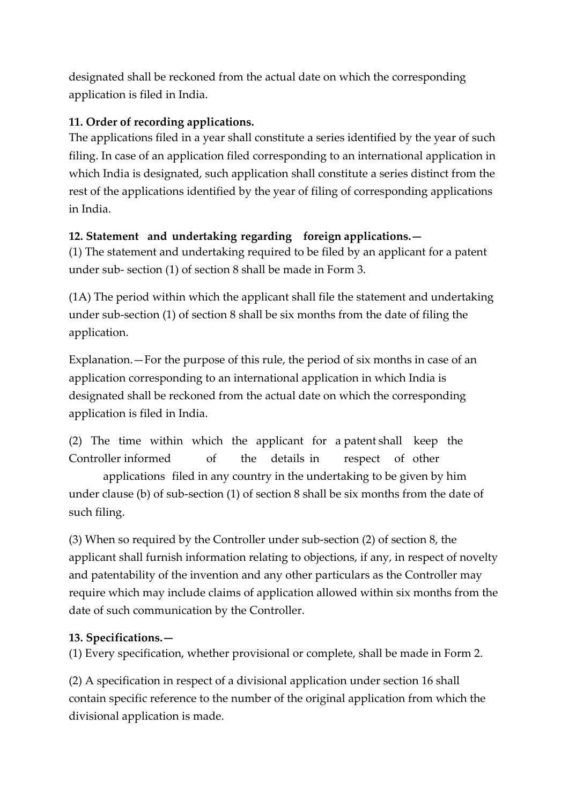designated shall be reckoned from the actual date on which the corresponding application is filed in India.

## **11. Order of recording applications.**

The applications filed in a year shall constitute a series identified by the year of such filing. In case of an application filed corresponding to an international application in which India is designated, such application shall constitute a series distinct from the rest of the applications identified by the year of filing of corresponding applications in India.

## **12. Statement and undertaking regarding foreign applications.—**

(1) The statement and undertaking required to be filed by an applicant for a patent under sub- section (1) of section 8 shall be made in Form 3.

(1A) The period within which the applicant shall file the statement and undertaking under sub-section (1) of section 8 shall be six months from the date of filing the application.

Explanation.—For the purpose of this rule, the period of six months in case of an application corresponding to an international application in which India is designated shall be reckoned from the actual date on which the corresponding application is filed in India.

(2) The time within which the applicant for a patent shall keep the Controller informed of the details in respect of other

applications filed in any country in the undertaking to be given by him under clause (b) of sub-section (1) of section 8 shall be six months from the date of such filing.

(3) When so required by the Controller under sub-section (2) of section 8, the applicant shall furnish information relating to objections, if any, in respect of novelty and patentability of the invention and any other particulars as the Controller may require which may include claims of application allowed within six months from the date of such communication by the Controller.

## **13. Specifications.—**

(1) Every specification, whether provisional or complete, shall be made in Form 2.

(2) A specification in respect of a divisional application under section 16 shall contain specific reference to the number of the original application from which the divisional application is made.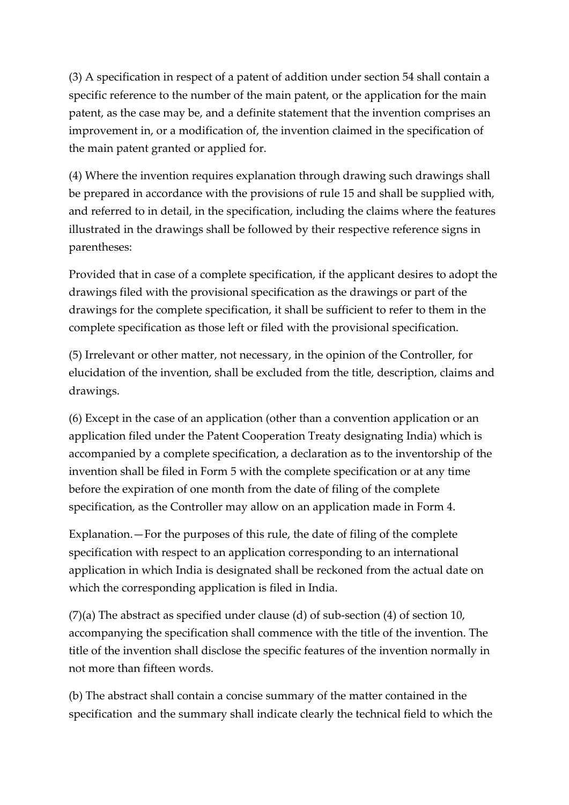(3) A specification in respect of a patent of addition under section 54 shall contain a specific reference to the number of the main patent, or the application for the main patent, as the case may be, and a definite statement that the invention comprises an improvement in, or a modification of, the invention claimed in the specification of the main patent granted or applied for.

(4) Where the invention requires explanation through drawing such drawings shall be prepared in accordance with the provisions of rule 15 and shall be supplied with, and referred to in detail, in the specification, including the claims where the features illustrated in the drawings shall be followed by their respective reference signs in parentheses:

Provided that in case of a complete specification, if the applicant desires to adopt the drawings filed with the provisional specification as the drawings or part of the drawings for the complete specification, it shall be sufficient to refer to them in the complete specification as those left or filed with the provisional specification.

(5) Irrelevant or other matter, not necessary, in the opinion of the Controller, for elucidation of the invention, shall be excluded from the title, description, claims and drawings.

(6) Except in the case of an application (other than a convention application or an application filed under the Patent Cooperation Treaty designating India) which is accompanied by a complete specification, a declaration as to the inventorship of the invention shall be filed in Form 5 with the complete specification or at any time before the expiration of one month from the date of filing of the complete specification, as the Controller may allow on an application made in Form 4.

Explanation.—For the purposes of this rule, the date of filing of the complete specification with respect to an application corresponding to an international application in which India is designated shall be reckoned from the actual date on which the corresponding application is filed in India.

(7)(a) The abstract as specified under clause (d) of sub-section (4) of section 10, accompanying the specification shall commence with the title of the invention. The title of the invention shall disclose the specific features of the invention normally in not more than fifteen words.

(b) The abstract shall contain a concise summary of the matter contained in the specification and the summary shall indicate clearly the technical field to which the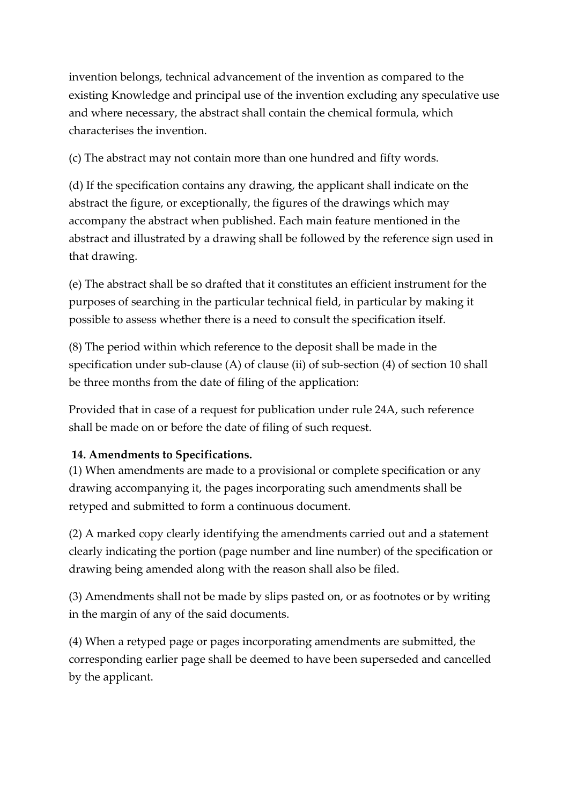invention belongs, technical advancement of the invention as compared to the existing Knowledge and principal use of the invention excluding any speculative use and where necessary, the abstract shall contain the chemical formula, which characterises the invention.

(c) The abstract may not contain more than one hundred and fifty words.

(d) If the specification contains any drawing, the applicant shall indicate on the abstract the figure, or exceptionally, the figures of the drawings which may accompany the abstract when published. Each main feature mentioned in the abstract and illustrated by a drawing shall be followed by the reference sign used in that drawing.

(e) The abstract shall be so drafted that it constitutes an efficient instrument for the purposes of searching in the particular technical field, in particular by making it possible to assess whether there is a need to consult the specification itself.

(8) The period within which reference to the deposit shall be made in the specification under sub-clause (A) of clause (ii) of sub-section (4) of section 10 shall be three months from the date of filing of the application:

Provided that in case of a request for publication under rule 24A, such reference shall be made on or before the date of filing of such request.

## **14. Amendments to Specifications.**

(1) When amendments are made to a provisional or complete specification or any drawing accompanying it, the pages incorporating such amendments shall be retyped and submitted to form a continuous document.

(2) A marked copy clearly identifying the amendments carried out and a statement clearly indicating the portion (page number and line number) of the specification or drawing being amended along with the reason shall also be filed.

(3) Amendments shall not be made by slips pasted on, or as footnotes or by writing in the margin of any of the said documents.

(4) When a retyped page or pages incorporating amendments are submitted, the corresponding earlier page shall be deemed to have been superseded and cancelled by the applicant.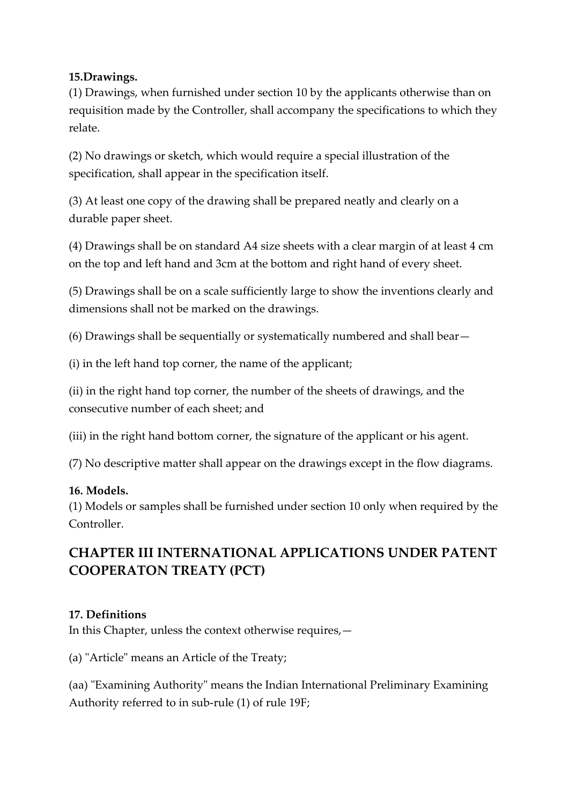#### **15.Drawings.**

(1) Drawings, when furnished under section 10 by the applicants otherwise than on requisition made by the Controller, shall accompany the specifications to which they relate.

(2) No drawings or sketch, which would require a special illustration of the specification, shall appear in the specification itself.

(3) At least one copy of the drawing shall be prepared neatly and clearly on a durable paper sheet.

(4) Drawings shall be on standard A4 size sheets with a clear margin of at least 4 cm on the top and left hand and 3cm at the bottom and right hand of every sheet.

(5) Drawings shall be on a scale sufficiently large to show the inventions clearly and dimensions shall not be marked on the drawings.

(6) Drawings shall be sequentially or systematically numbered and shall bear—

(i) in the left hand top corner, the name of the applicant;

(ii) in the right hand top corner, the number of the sheets of drawings, and the consecutive number of each sheet; and

(iii) in the right hand bottom corner, the signature of the applicant or his agent.

(7) No descriptive matter shall appear on the drawings except in the flow diagrams.

## **16. Models.**

(1) Models or samples shall be furnished under section 10 only when required by the Controller.

# **CHAPTER III INTERNATIONAL APPLICATIONS UNDER PATENT COOPERATON TREATY (PCT)**

## **17. Definitions**

In this Chapter, unless the context otherwise requires,—

(a) "Article" means an Article of the Treaty;

(aa) "Examining Authority" means the Indian International Preliminary Examining Authority referred to in sub-rule (1) of rule 19F;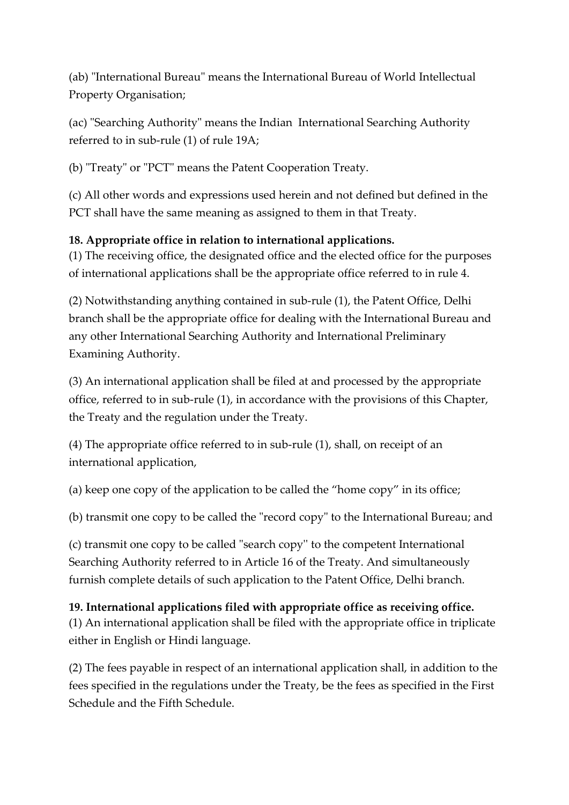(ab) "International Bureau" means the International Bureau of World Intellectual Property Organisation;

(ac) "Searching Authority" means the Indian International Searching Authority referred to in sub-rule (1) of rule 19A;

(b) "Treaty" or "PCT" means the Patent Cooperation Treaty.

(c) All other words and expressions used herein and not defined but defined in the PCT shall have the same meaning as assigned to them in that Treaty.

## **18. Appropriate office in relation to international applications.**

(1) The receiving office, the designated office and the elected office for the purposes of international applications shall be the appropriate office referred to in rule 4.

(2) Notwithstanding anything contained in sub-rule (1), the Patent Office, Delhi branch shall be the appropriate office for dealing with the International Bureau and any other International Searching Authority and International Preliminary Examining Authority.

(3) An international application shall be filed at and processed by the appropriate office, referred to in sub-rule (1), in accordance with the provisions of this Chapter, the Treaty and the regulation under the Treaty.

(4) The appropriate office referred to in sub-rule (1), shall, on receipt of an international application,

(a) keep one copy of the application to be called the "home copy" in its office;

(b) transmit one copy to be called the "record copy" to the International Bureau; and

(c) transmit one copy to be called "search copy'' to the competent International Searching Authority referred to in Article 16 of the Treaty. And simultaneously furnish complete details of such application to the Patent Office, Delhi branch.

## **19. International applications filed with appropriate office as receiving office.**

(1) An international application shall be filed with the appropriate office in triplicate either in English or Hindi language.

(2) The fees payable in respect of an international application shall, in addition to the fees specified in the regulations under the Treaty, be the fees as specified in the First Schedule and the Fifth Schedule.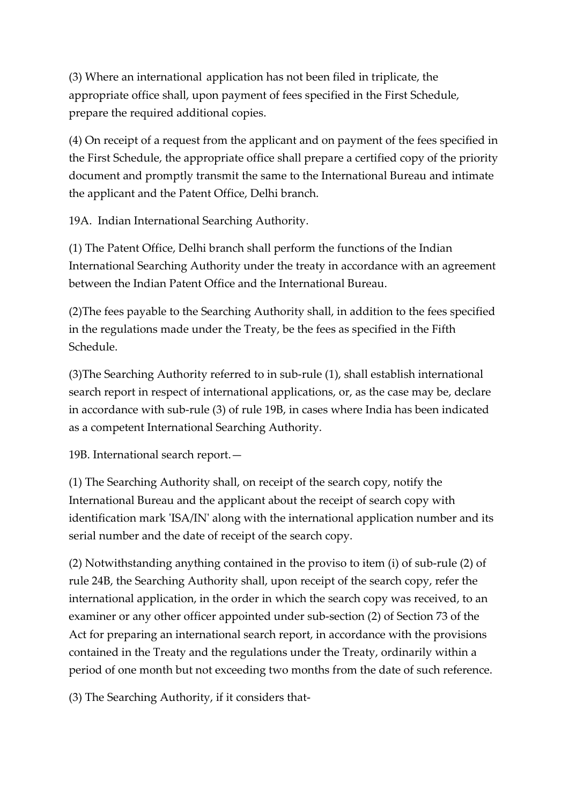(3) Where an international application has not been filed in triplicate, the appropriate office shall, upon payment of fees specified in the First Schedule, prepare the required additional copies.

(4) On receipt of a request from the applicant and on payment of the fees specified in the First Schedule, the appropriate office shall prepare a certified copy of the priority document and promptly transmit the same to the International Bureau and intimate the applicant and the Patent Office, Delhi branch.

19A. Indian International Searching Authority.

(1) The Patent Office, Delhi branch shall perform the functions of the Indian International Searching Authority under the treaty in accordance with an agreement between the Indian Patent Office and the International Bureau.

(2)The fees payable to the Searching Authority shall, in addition to the fees specified in the regulations made under the Treaty, be the fees as specified in the Fifth Schedule.

(3)The Searching Authority referred to in sub-rule (1), shall establish international search report in respect of international applications, or, as the case may be, declare in accordance with sub-rule (3) of rule 19B, in cases where India has been indicated as a competent International Searching Authority.

19B. International search report.—

(1) The Searching Authority shall, on receipt of the search copy, notify the International Bureau and the applicant about the receipt of search copy with identification mark 'ISA/IN' along with the international application number and its serial number and the date of receipt of the search copy.

(2) Notwithstanding anything contained in the proviso to item (i) of sub-rule (2) of rule 24B, the Searching Authority shall, upon receipt of the search copy, refer the international application, in the order in which the search copy was received, to an examiner or any other officer appointed under sub-section (2) of Section 73 of the Act for preparing an international search report, in accordance with the provisions contained in the Treaty and the regulations under the Treaty, ordinarily within a period of one month but not exceeding two months from the date of such reference.

(3) The Searching Authority, if it considers that-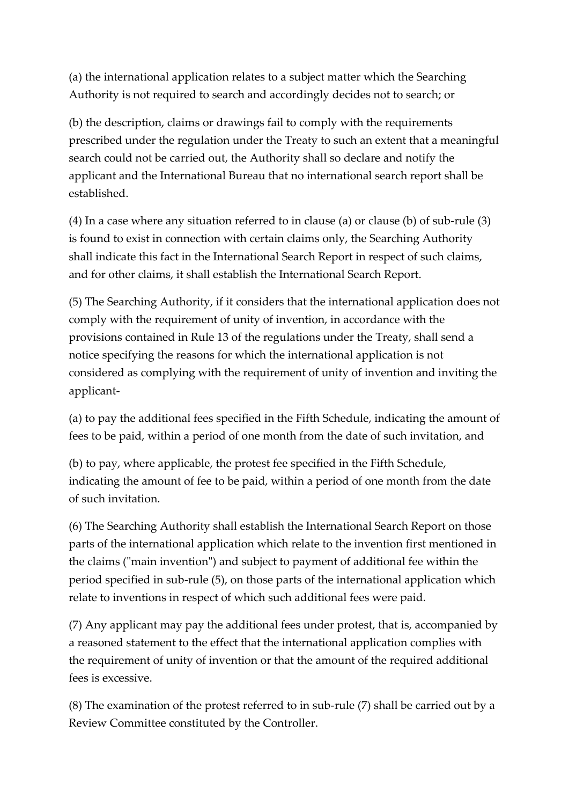(a) the international application relates to a subject matter which the Searching Authority is not required to search and accordingly decides not to search; or

(b) the description, claims or drawings fail to comply with the requirements prescribed under the regulation under the Treaty to such an extent that a meaningful search could not be carried out, the Authority shall so declare and notify the applicant and the International Bureau that no international search report shall be established.

(4) In a case where any situation referred to in clause (a) or clause (b) of sub-rule (3) is found to exist in connection with certain claims only, the Searching Authority shall indicate this fact in the International Search Report in respect of such claims, and for other claims, it shall establish the International Search Report.

(5) The Searching Authority, if it considers that the international application does not comply with the requirement of unity of invention, in accordance with the provisions contained in Rule 13 of the regulations under the Treaty, shall send a notice specifying the reasons for which the international application is not considered as complying with the requirement of unity of invention and inviting the applicant-

(a) to pay the additional fees specified in the Fifth Schedule, indicating the amount of fees to be paid, within a period of one month from the date of such invitation, and

(b) to pay, where applicable, the protest fee specified in the Fifth Schedule, indicating the amount of fee to be paid, within a period of one month from the date of such invitation.

(6) The Searching Authority shall establish the International Search Report on those parts of the international application which relate to the invention first mentioned in the claims ("main invention") and subject to payment of additional fee within the period specified in sub-rule (5), on those parts of the international application which relate to inventions in respect of which such additional fees were paid.

(7) Any applicant may pay the additional fees under protest, that is, accompanied by a reasoned statement to the effect that the international application complies with the requirement of unity of invention or that the amount of the required additional fees is excessive.

(8) The examination of the protest referred to in sub-rule (7) shall be carried out by a Review Committee constituted by the Controller.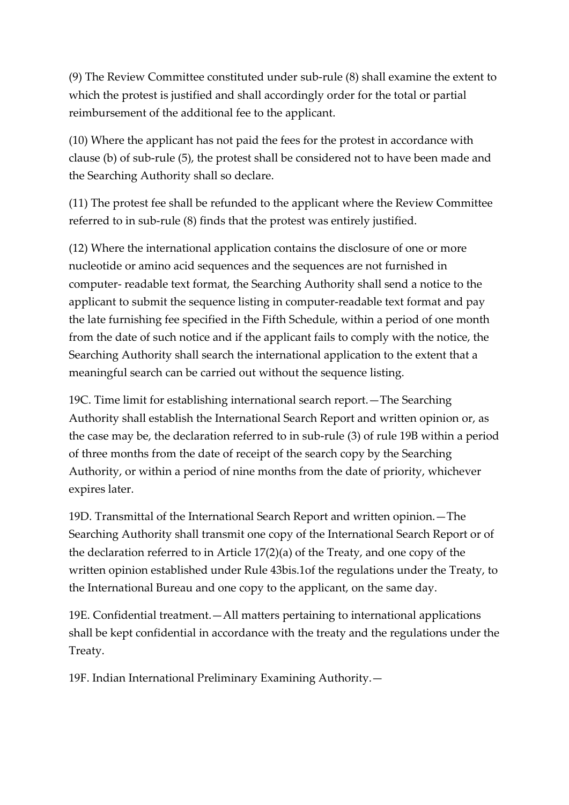(9) The Review Committee constituted under sub-rule (8) shall examine the extent to which the protest is justified and shall accordingly order for the total or partial reimbursement of the additional fee to the applicant.

(10) Where the applicant has not paid the fees for the protest in accordance with clause (b) of sub-rule (5), the protest shall be considered not to have been made and the Searching Authority shall so declare.

(11) The protest fee shall be refunded to the applicant where the Review Committee referred to in sub-rule (8) finds that the protest was entirely justified.

(12) Where the international application contains the disclosure of one or more nucleotide or amino acid sequences and the sequences are not furnished in computer- readable text format, the Searching Authority shall send a notice to the applicant to submit the sequence listing in computer-readable text format and pay the late furnishing fee specified in the Fifth Schedule, within a period of one month from the date of such notice and if the applicant fails to comply with the notice, the Searching Authority shall search the international application to the extent that a meaningful search can be carried out without the sequence listing.

19C. Time limit for establishing international search report.—The Searching Authority shall establish the International Search Report and written opinion or, as the case may be, the declaration referred to in sub-rule (3) of rule 19B within a period of three months from the date of receipt of the search copy by the Searching Authority, or within a period of nine months from the date of priority, whichever expires later.

19D. Transmittal of the International Search Report and written opinion.—The Searching Authority shall transmit one copy of the International Search Report or of the declaration referred to in Article 17(2)(a) of the Treaty, and one copy of the written opinion established under Rule 43bis.1of the regulations under the Treaty, to the International Bureau and one copy to the applicant, on the same day.

19E. Confidential treatment.—All matters pertaining to international applications shall be kept confidential in accordance with the treaty and the regulations under the Treaty.

19F. Indian International Preliminary Examining Authority.—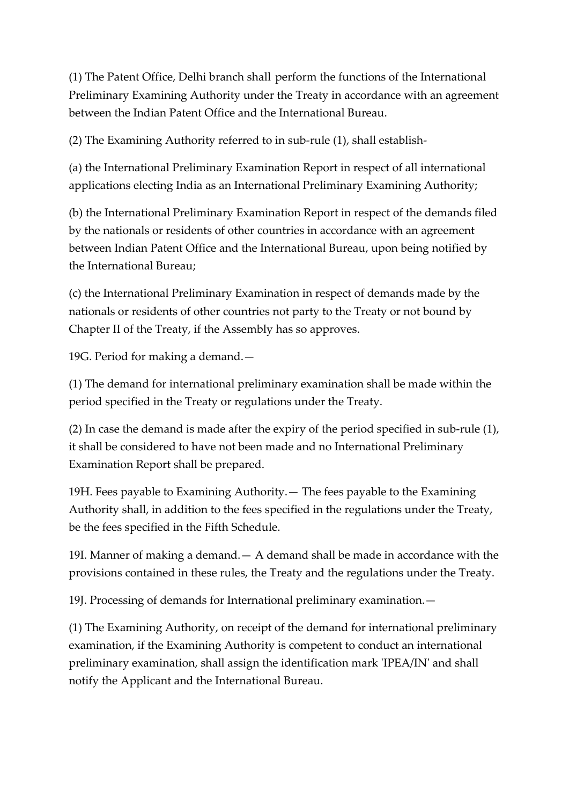(1) The Patent Office, Delhi branch shall perform the functions of the International Preliminary Examining Authority under the Treaty in accordance with an agreement between the Indian Patent Office and the International Bureau.

(2) The Examining Authority referred to in sub-rule (1), shall establish-

(a) the International Preliminary Examination Report in respect of all international applications electing India as an International Preliminary Examining Authority;

(b) the International Preliminary Examination Report in respect of the demands filed by the nationals or residents of other countries in accordance with an agreement between Indian Patent Office and the International Bureau, upon being notified by the International Bureau;

(c) the International Preliminary Examination in respect of demands made by the nationals or residents of other countries not party to the Treaty or not bound by Chapter II of the Treaty, if the Assembly has so approves.

19G. Period for making a demand.—

(1) The demand for international preliminary examination shall be made within the period specified in the Treaty or regulations under the Treaty.

(2) In case the demand is made after the expiry of the period specified in sub-rule (1), it shall be considered to have not been made and no International Preliminary Examination Report shall be prepared.

19H. Fees payable to Examining Authority.— The fees payable to the Examining Authority shall, in addition to the fees specified in the regulations under the Treaty, be the fees specified in the Fifth Schedule.

19I. Manner of making a demand.— A demand shall be made in accordance with the provisions contained in these rules, the Treaty and the regulations under the Treaty.

19J. Processing of demands for International preliminary examination.—

(1) The Examining Authority, on receipt of the demand for international preliminary examination, if the Examining Authority is competent to conduct an international preliminary examination, shall assign the identification mark 'IPEA/IN' and shall notify the Applicant and the International Bureau.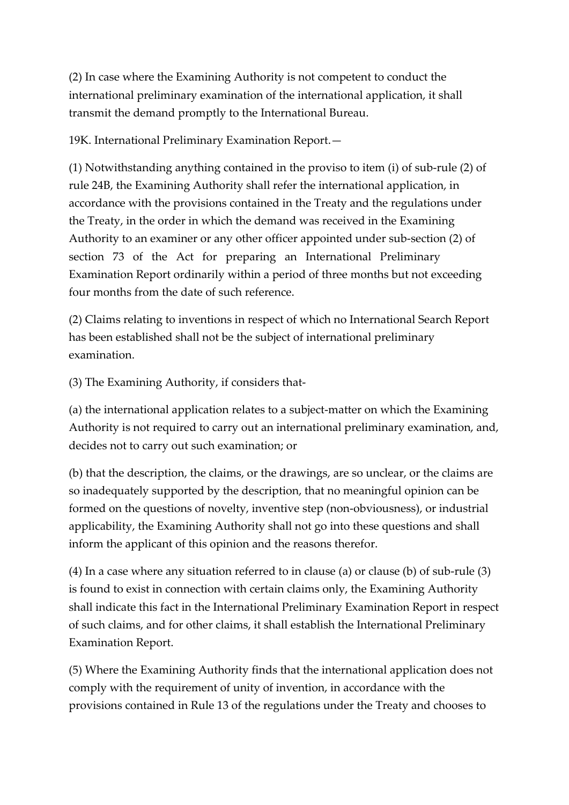(2) In case where the Examining Authority is not competent to conduct the international preliminary examination of the international application, it shall transmit the demand promptly to the International Bureau.

19K. International Preliminary Examination Report.—

(1) Notwithstanding anything contained in the proviso to item (i) of sub-rule (2) of rule 24B, the Examining Authority shall refer the international application, in accordance with the provisions contained in the Treaty and the regulations under the Treaty, in the order in which the demand was received in the Examining Authority to an examiner or any other officer appointed under sub-section (2) of section 73 of the Act for preparing an International Preliminary Examination Report ordinarily within a period of three months but not exceeding four months from the date of such reference.

(2) Claims relating to inventions in respect of which no International Search Report has been established shall not be the subject of international preliminary examination.

(3) The Examining Authority, if considers that-

(a) the international application relates to a subject-matter on which the Examining Authority is not required to carry out an international preliminary examination, and, decides not to carry out such examination; or

(b) that the description, the claims, or the drawings, are so unclear, or the claims are so inadequately supported by the description, that no meaningful opinion can be formed on the questions of novelty, inventive step (non-obviousness), or industrial applicability, the Examining Authority shall not go into these questions and shall inform the applicant of this opinion and the reasons therefor.

(4) In a case where any situation referred to in clause (a) or clause (b) of sub-rule (3) is found to exist in connection with certain claims only, the Examining Authority shall indicate this fact in the International Preliminary Examination Report in respect of such claims, and for other claims, it shall establish the International Preliminary Examination Report.

(5) Where the Examining Authority finds that the international application does not comply with the requirement of unity of invention, in accordance with the provisions contained in Rule 13 of the regulations under the Treaty and chooses to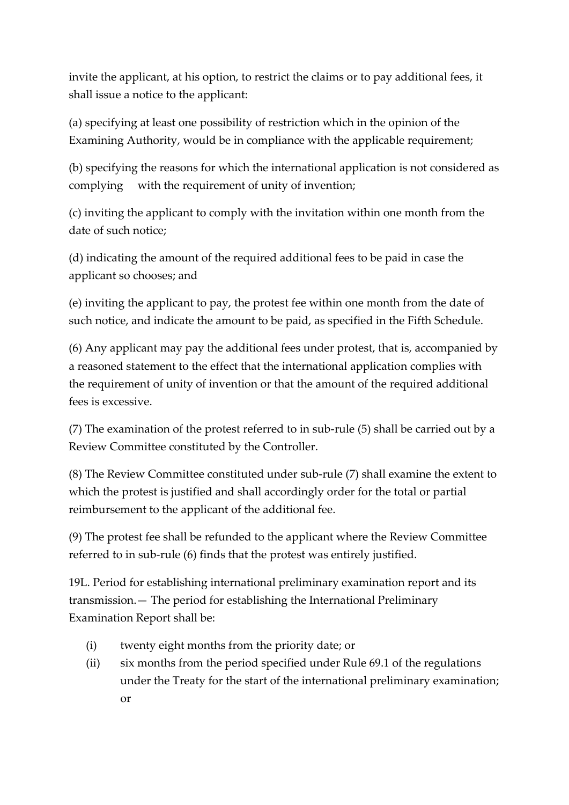invite the applicant, at his option, to restrict the claims or to pay additional fees, it shall issue a notice to the applicant:

(a) specifying at least one possibility of restriction which in the opinion of the Examining Authority, would be in compliance with the applicable requirement;

(b) specifying the reasons for which the international application is not considered as complying with the requirement of unity of invention;

(c) inviting the applicant to comply with the invitation within one month from the date of such notice;

(d) indicating the amount of the required additional fees to be paid in case the applicant so chooses; and

(e) inviting the applicant to pay, the protest fee within one month from the date of such notice, and indicate the amount to be paid, as specified in the Fifth Schedule.

(6) Any applicant may pay the additional fees under protest, that is, accompanied by a reasoned statement to the effect that the international application complies with the requirement of unity of invention or that the amount of the required additional fees is excessive.

(7) The examination of the protest referred to in sub-rule (5) shall be carried out by a Review Committee constituted by the Controller.

(8) The Review Committee constituted under sub-rule (7) shall examine the extent to which the protest is justified and shall accordingly order for the total or partial reimbursement to the applicant of the additional fee.

(9) The protest fee shall be refunded to the applicant where the Review Committee referred to in sub-rule (6) finds that the protest was entirely justified.

19L. Period for establishing international preliminary examination report and its transmission.— The period for establishing the International Preliminary Examination Report shall be:

- (i) twenty eight months from the priority date; or
- (ii) six months from the period specified under Rule 69.1 of the regulations under the Treaty for the start of the international preliminary examination; or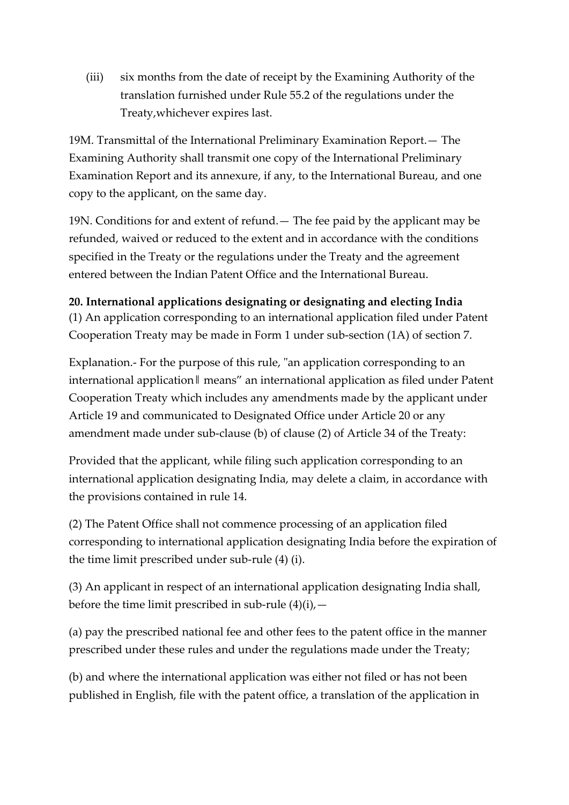(iii) six months from the date of receipt by the Examining Authority of the translation furnished under Rule 55.2 of the regulations under the Treaty,whichever expires last.

19M. Transmittal of the International Preliminary Examination Report.— The Examining Authority shall transmit one copy of the International Preliminary Examination Report and its annexure, if any, to the International Bureau, and one copy to the applicant, on the same day.

19N. Conditions for and extent of refund.— The fee paid by the applicant may be refunded, waived or reduced to the extent and in accordance with the conditions specified in the Treaty or the regulations under the Treaty and the agreement entered between the Indian Patent Office and the International Bureau.

**20. International applications designating or designating and electing India** (1) An application corresponding to an international application filed under Patent Cooperation Treaty may be made in Form 1 under sub-section (1A) of section 7.

Explanation.- For the purpose of this rule, "an application corresponding to an international application‖ means" an international application as filed under Patent Cooperation Treaty which includes any amendments made by the applicant under Article 19 and communicated to Designated Office under Article 20 or any amendment made under sub-clause (b) of clause (2) of Article 34 of the Treaty:

Provided that the applicant, while filing such application corresponding to an international application designating India, may delete a claim, in accordance with the provisions contained in rule 14.

(2) The Patent Office shall not commence processing of an application filed corresponding to international application designating India before the expiration of the time limit prescribed under sub-rule (4) (i).

(3) An applicant in respect of an international application designating India shall, before the time limit prescribed in sub-rule  $(4)(i)$ , -

(a) pay the prescribed national fee and other fees to the patent office in the manner prescribed under these rules and under the regulations made under the Treaty;

(b) and where the international application was either not filed or has not been published in English, file with the patent office, a translation of the application in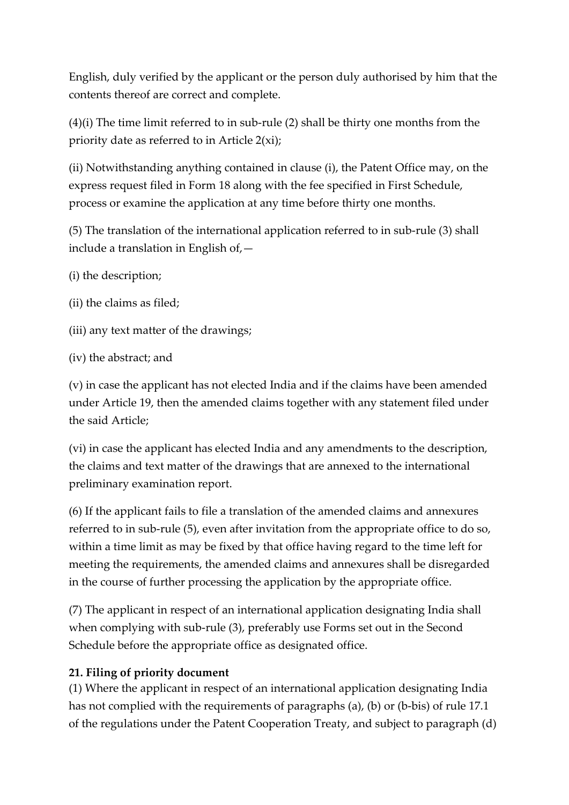English, duly verified by the applicant or the person duly authorised by him that the contents thereof are correct and complete.

(4)(i) The time limit referred to in sub-rule (2) shall be thirty one months from the priority date as referred to in Article 2(xi);

(ii) Notwithstanding anything contained in clause (i), the Patent Office may, on the express request filed in Form 18 along with the fee specified in First Schedule, process or examine the application at any time before thirty one months.

(5) The translation of the international application referred to in sub-rule (3) shall include a translation in English of,—

- (i) the description;
- (ii) the claims as filed;
- (iii) any text matter of the drawings;
- (iv) the abstract; and

(v) in case the applicant has not elected India and if the claims have been amended under Article 19, then the amended claims together with any statement filed under the said Article;

(vi) in case the applicant has elected India and any amendments to the description, the claims and text matter of the drawings that are annexed to the international preliminary examination report.

(6) If the applicant fails to file a translation of the amended claims and annexures referred to in sub-rule (5), even after invitation from the appropriate office to do so, within a time limit as may be fixed by that office having regard to the time left for meeting the requirements, the amended claims and annexures shall be disregarded in the course of further processing the application by the appropriate office.

(7) The applicant in respect of an international application designating India shall when complying with sub-rule (3), preferably use Forms set out in the Second Schedule before the appropriate office as designated office.

#### **21. Filing of priority document**

(1) Where the applicant in respect of an international application designating India has not complied with the requirements of paragraphs (a), (b) or (b-bis) of rule 17.1 of the regulations under the Patent Cooperation Treaty, and subject to paragraph (d)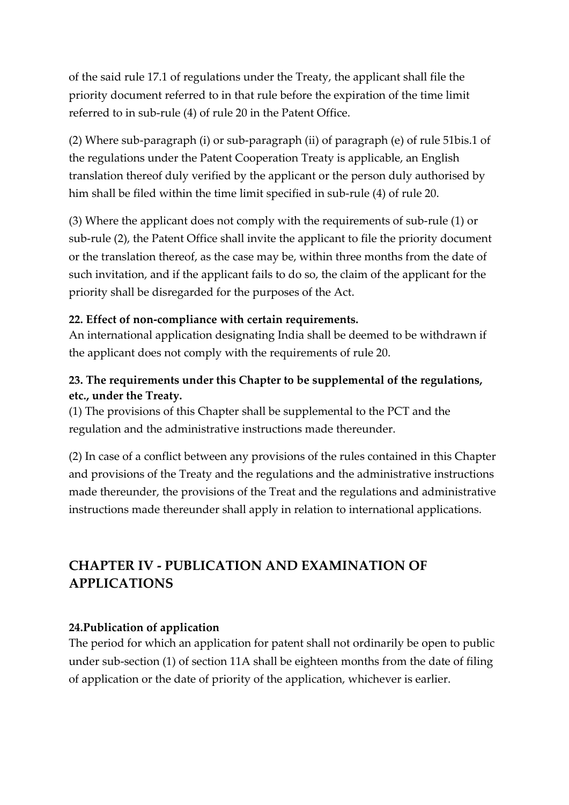of the said rule 17.1 of regulations under the Treaty, the applicant shall file the priority document referred to in that rule before the expiration of the time limit referred to in sub-rule (4) of rule 20 in the Patent Office.

(2) Where sub-paragraph (i) or sub-paragraph (ii) of paragraph (e) of rule 51bis.1 of the regulations under the Patent Cooperation Treaty is applicable, an English translation thereof duly verified by the applicant or the person duly authorised by him shall be filed within the time limit specified in sub-rule (4) of rule 20.

(3) Where the applicant does not comply with the requirements of sub-rule (1) or sub-rule (2), the Patent Office shall invite the applicant to file the priority document or the translation thereof, as the case may be, within three months from the date of such invitation, and if the applicant fails to do so, the claim of the applicant for the priority shall be disregarded for the purposes of the Act.

#### **22. Effect of non-compliance with certain requirements.**

An international application designating India shall be deemed to be withdrawn if the applicant does not comply with the requirements of rule 20.

## **23. The requirements under this Chapter to be supplemental of the regulations, etc., under the Treaty.**

(1) The provisions of this Chapter shall be supplemental to the PCT and the regulation and the administrative instructions made thereunder.

(2) In case of a conflict between any provisions of the rules contained in this Chapter and provisions of the Treaty and the regulations and the administrative instructions made thereunder, the provisions of the Treat and the regulations and administrative instructions made thereunder shall apply in relation to international applications.

# **CHAPTER IV - PUBLICATION AND EXAMINATION OF APPLICATIONS**

## **24.Publication of application**

The period for which an application for patent shall not ordinarily be open to public under sub-section (1) of section 11A shall be eighteen months from the date of filing of application or the date of priority of the application, whichever is earlier.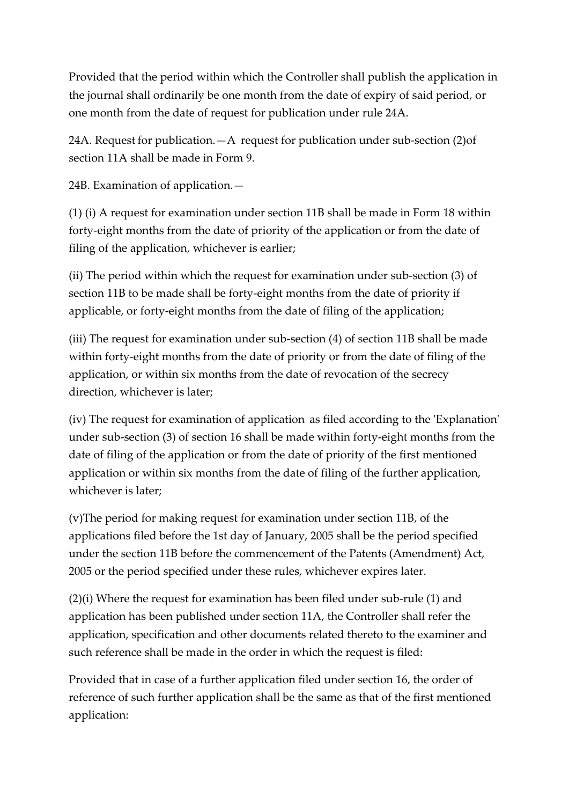Provided that the period within which the Controller shall publish the application in the journal shall ordinarily be one month from the date of expiry of said period, or one month from the date of request for publication under rule 24A.

24A. Request for publication.—A request for publication under sub-section (2)of section 11A shall be made in Form 9.

24B. Examination of application.—

(1) (i) A request for examination under section 11B shall be made in Form 18 within forty-eight months from the date of priority of the application or from the date of filing of the application, whichever is earlier;

(ii) The period within which the request for examination under sub-section (3) of section 11B to be made shall be forty-eight months from the date of priority if applicable, or forty-eight months from the date of filing of the application;

(iii) The request for examination under sub-section (4) of section 11B shall be made within forty-eight months from the date of priority or from the date of filing of the application, or within six months from the date of revocation of the secrecy direction, whichever is later;

(iv) The request for examination of application as filed according to the 'Explanation' under sub-section (3) of section 16 shall be made within forty-eight months from the date of filing of the application or from the date of priority of the first mentioned application or within six months from the date of filing of the further application, whichever is later;

(v)The period for making request for examination under section 11B, of the applications filed before the 1st day of January, 2005 shall be the period specified under the section 11B before the commencement of the Patents (Amendment) Act, 2005 or the period specified under these rules, whichever expires later.

(2)(i) Where the request for examination has been filed under sub-rule (1) and application has been published under section 11A, the Controller shall refer the application, specification and other documents related thereto to the examiner and such reference shall be made in the order in which the request is filed:

Provided that in case of a further application filed under section 16, the order of reference of such further application shall be the same as that of the first mentioned application: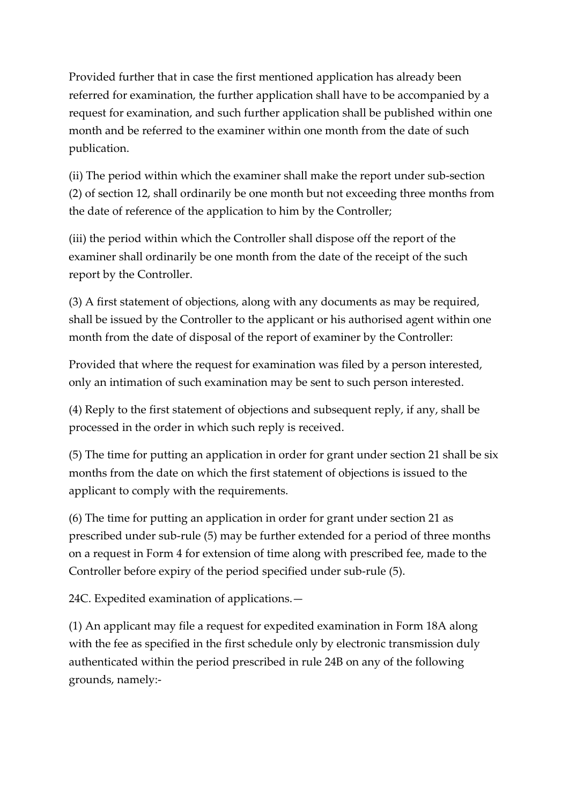Provided further that in case the first mentioned application has already been referred for examination, the further application shall have to be accompanied by a request for examination, and such further application shall be published within one month and be referred to the examiner within one month from the date of such publication.

(ii) The period within which the examiner shall make the report under sub-section (2) of section 12, shall ordinarily be one month but not exceeding three months from the date of reference of the application to him by the Controller;

(iii) the period within which the Controller shall dispose off the report of the examiner shall ordinarily be one month from the date of the receipt of the such report by the Controller.

(3) A first statement of objections, along with any documents as may be required, shall be issued by the Controller to the applicant or his authorised agent within one month from the date of disposal of the report of examiner by the Controller:

Provided that where the request for examination was filed by a person interested, only an intimation of such examination may be sent to such person interested.

(4) Reply to the first statement of objections and subsequent reply, if any, shall be processed in the order in which such reply is received.

(5) The time for putting an application in order for grant under section 21 shall be six months from the date on which the first statement of objections is issued to the applicant to comply with the requirements.

(6) The time for putting an application in order for grant under section 21 as prescribed under sub-rule (5) may be further extended for a period of three months on a request in Form 4 for extension of time along with prescribed fee, made to the Controller before expiry of the period specified under sub-rule (5).

24C. Expedited examination of applications.—

(1) An applicant may file a request for expedited examination in Form 18A along with the fee as specified in the first schedule only by electronic transmission duly authenticated within the period prescribed in rule 24B on any of the following grounds, namely:-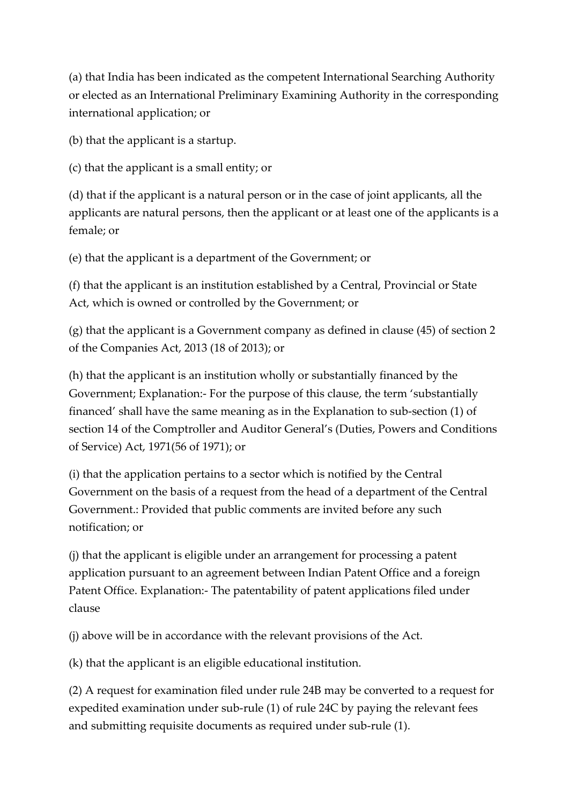(a) that India has been indicated as the competent International Searching Authority or elected as an International Preliminary Examining Authority in the corresponding international application; or

(b) that the applicant is a startup.

(c) that the applicant is a small entity; or

(d) that if the applicant is a natural person or in the case of joint applicants, all the applicants are natural persons, then the applicant or at least one of the applicants is a female; or

(e) that the applicant is a department of the Government; or

(f) that the applicant is an institution established by a Central, Provincial or State Act, which is owned or controlled by the Government; or

(g) that the applicant is a Government company as defined in clause (45) of section 2 of the Companies Act, 2013 (18 of 2013); or

(h) that the applicant is an institution wholly or substantially financed by the Government; Explanation:- For the purpose of this clause, the term 'substantially financed' shall have the same meaning as in the Explanation to sub-section (1) of section 14 of the Comptroller and Auditor General's (Duties, Powers and Conditions of Service) Act, 1971(56 of 1971); or

(i) that the application pertains to a sector which is notified by the Central Government on the basis of a request from the head of a department of the Central Government.: Provided that public comments are invited before any such notification; or

(j) that the applicant is eligible under an arrangement for processing a patent application pursuant to an agreement between Indian Patent Office and a foreign Patent Office. Explanation:- The patentability of patent applications filed under clause

(j) above will be in accordance with the relevant provisions of the Act.

(k) that the applicant is an eligible educational institution.

(2) A request for examination filed under rule 24B may be converted to a request for expedited examination under sub-rule (1) of rule 24C by paying the relevant fees and submitting requisite documents as required under sub-rule (1).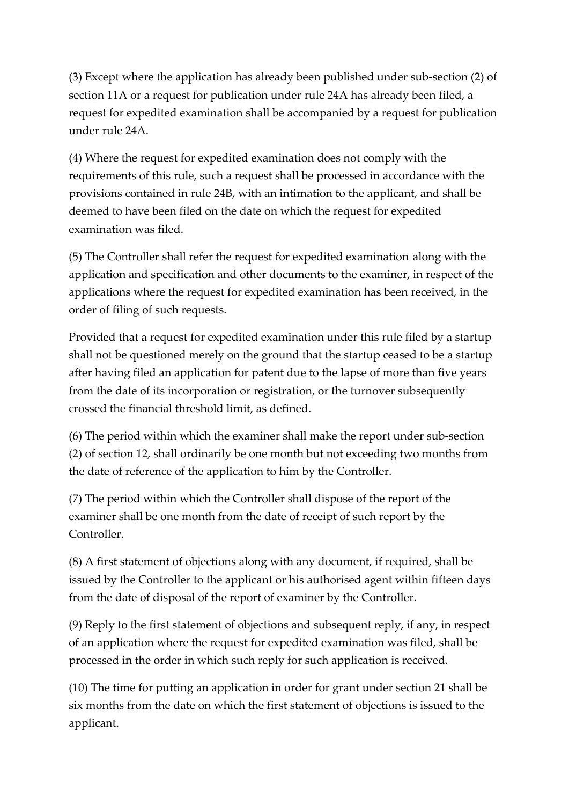(3) Except where the application has already been published under sub-section (2) of section 11A or a request for publication under rule 24A has already been filed, a request for expedited examination shall be accompanied by a request for publication under rule 24A.

(4) Where the request for expedited examination does not comply with the requirements of this rule, such a request shall be processed in accordance with the provisions contained in rule 24B, with an intimation to the applicant, and shall be deemed to have been filed on the date on which the request for expedited examination was filed.

(5) The Controller shall refer the request for expedited examination along with the application and specification and other documents to the examiner, in respect of the applications where the request for expedited examination has been received, in the order of filing of such requests.

Provided that a request for expedited examination under this rule filed by a startup shall not be questioned merely on the ground that the startup ceased to be a startup after having filed an application for patent due to the lapse of more than five years from the date of its incorporation or registration, or the turnover subsequently crossed the financial threshold limit, as defined.

(6) The period within which the examiner shall make the report under sub-section (2) of section 12, shall ordinarily be one month but not exceeding two months from the date of reference of the application to him by the Controller.

(7) The period within which the Controller shall dispose of the report of the examiner shall be one month from the date of receipt of such report by the Controller.

(8) A first statement of objections along with any document, if required, shall be issued by the Controller to the applicant or his authorised agent within fifteen days from the date of disposal of the report of examiner by the Controller.

(9) Reply to the first statement of objections and subsequent reply, if any, in respect of an application where the request for expedited examination was filed, shall be processed in the order in which such reply for such application is received.

(10) The time for putting an application in order for grant under section 21 shall be six months from the date on which the first statement of objections is issued to the applicant.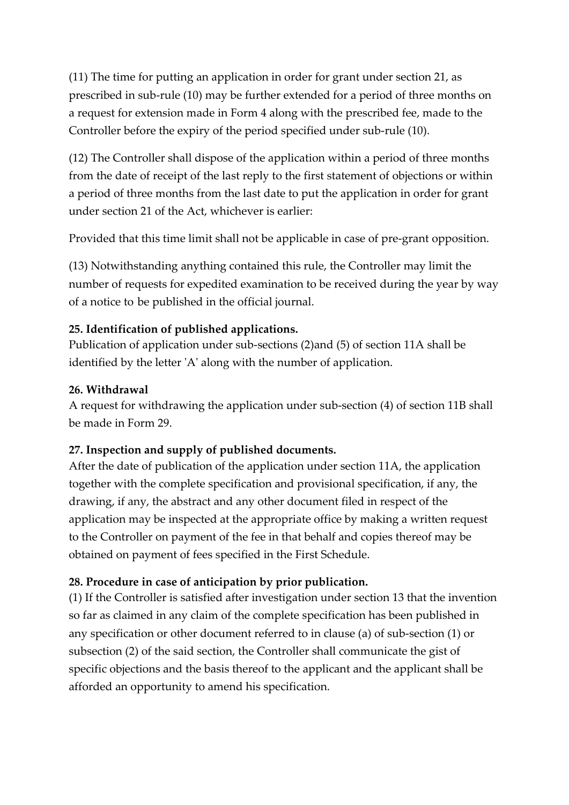(11) The time for putting an application in order for grant under section 21, as prescribed in sub-rule (10) may be further extended for a period of three months on a request for extension made in Form 4 along with the prescribed fee, made to the Controller before the expiry of the period specified under sub-rule (10).

(12) The Controller shall dispose of the application within a period of three months from the date of receipt of the last reply to the first statement of objections or within a period of three months from the last date to put the application in order for grant under section 21 of the Act, whichever is earlier:

Provided that this time limit shall not be applicable in case of pre-grant opposition.

(13) Notwithstanding anything contained this rule, the Controller may limit the number of requests for expedited examination to be received during the year by way of a notice to be published in the official journal.

#### **25. Identification of published applications.**

Publication of application under sub-sections (2)and (5) of section 11A shall be identified by the letter 'A' along with the number of application.

#### **26. Withdrawal**

A request for withdrawing the application under sub-section (4) of section 11B shall be made in Form 29.

## **27. Inspection and supply of published documents.**

After the date of publication of the application under section 11A, the application together with the complete specification and provisional specification, if any, the drawing, if any, the abstract and any other document filed in respect of the application may be inspected at the appropriate office by making a written request to the Controller on payment of the fee in that behalf and copies thereof may be obtained on payment of fees specified in the First Schedule.

## **28. Procedure in case of anticipation by prior publication.**

(1) If the Controller is satisfied after investigation under section 13 that the invention so far as claimed in any claim of the complete specification has been published in any specification or other document referred to in clause (a) of sub-section (1) or subsection (2) of the said section, the Controller shall communicate the gist of specific objections and the basis thereof to the applicant and the applicant shall be afforded an opportunity to amend his specification.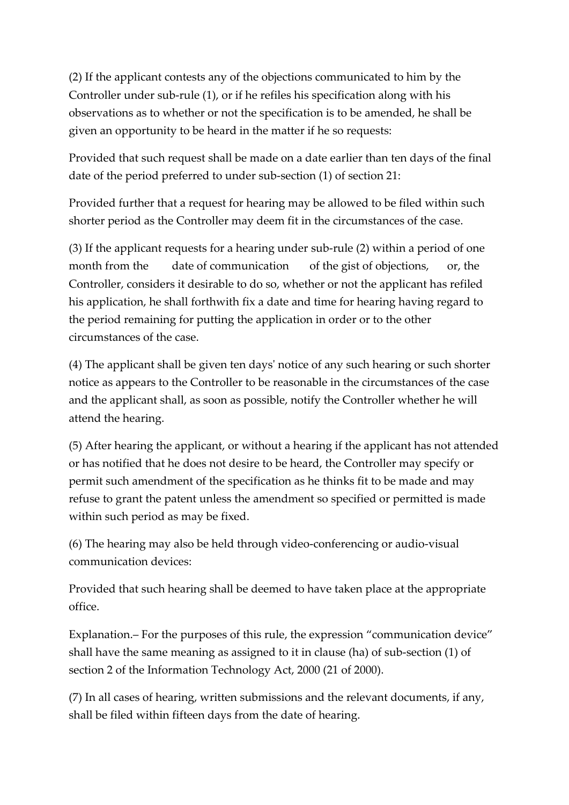(2) If the applicant contests any of the objections communicated to him by the Controller under sub-rule (1), or if he refiles his specification along with his observations as to whether or not the specification is to be amended, he shall be given an opportunity to be heard in the matter if he so requests:

Provided that such request shall be made on a date earlier than ten days of the final date of the period preferred to under sub-section (1) of section 21:

Provided further that a request for hearing may be allowed to be filed within such shorter period as the Controller may deem fit in the circumstances of the case.

(3) If the applicant requests for a hearing under sub-rule (2) within a period of one month from the date of communication of the gist of objections, or, the Controller, considers it desirable to do so, whether or not the applicant has refiled his application, he shall forthwith fix a date and time for hearing having regard to the period remaining for putting the application in order or to the other circumstances of the case.

(4) The applicant shall be given ten days' notice of any such hearing or such shorter notice as appears to the Controller to be reasonable in the circumstances of the case and the applicant shall, as soon as possible, notify the Controller whether he will attend the hearing.

(5) After hearing the applicant, or without a hearing if the applicant has not attended or has notified that he does not desire to be heard, the Controller may specify or permit such amendment of the specification as he thinks fit to be made and may refuse to grant the patent unless the amendment so specified or permitted is made within such period as may be fixed.

(6) The hearing may also be held through video-conferencing or audio-visual communication devices:

Provided that such hearing shall be deemed to have taken place at the appropriate office.

Explanation.– For the purposes of this rule, the expression "communication device" shall have the same meaning as assigned to it in clause (ha) of sub-section (1) of section 2 of the Information Technology Act, 2000 (21 of 2000).

(7) In all cases of hearing, written submissions and the relevant documents, if any, shall be filed within fifteen days from the date of hearing.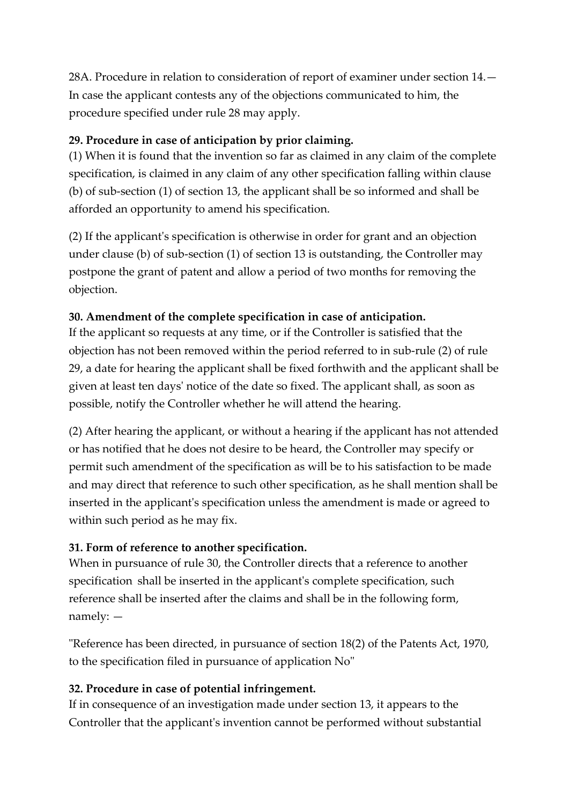28A. Procedure in relation to consideration of report of examiner under section 14.— In case the applicant contests any of the objections communicated to him, the procedure specified under rule 28 may apply.

## **29. Procedure in case of anticipation by prior claiming.**

(1) When it is found that the invention so far as claimed in any claim of the complete specification, is claimed in any claim of any other specification falling within clause (b) of sub-section (1) of section 13, the applicant shall be so informed and shall be afforded an opportunity to amend his specification.

(2) If the applicant's specification is otherwise in order for grant and an objection under clause (b) of sub-section (1) of section 13 is outstanding, the Controller may postpone the grant of patent and allow a period of two months for removing the objection.

## **30. Amendment of the complete specification in case of anticipation.**

If the applicant so requests at any time, or if the Controller is satisfied that the objection has not been removed within the period referred to in sub-rule (2) of rule 29, a date for hearing the applicant shall be fixed forthwith and the applicant shall be given at least ten days' notice of the date so fixed. The applicant shall, as soon as possible, notify the Controller whether he will attend the hearing.

(2) After hearing the applicant, or without a hearing if the applicant has not attended or has notified that he does not desire to be heard, the Controller may specify or permit such amendment of the specification as will be to his satisfaction to be made and may direct that reference to such other specification, as he shall mention shall be inserted in the applicant's specification unless the amendment is made or agreed to within such period as he may fix.

## **31. Form of reference to another specification.**

When in pursuance of rule 30, the Controller directs that a reference to another specification shall be inserted in the applicant's complete specification, such reference shall be inserted after the claims and shall be in the following form, namely: —

"Reference has been directed, in pursuance of section 18(2) of the Patents Act, 1970, to the specification filed in pursuance of application No"

## **32. Procedure in case of potential infringement.**

If in consequence of an investigation made under section 13, it appears to the Controller that the applicant's invention cannot be performed without substantial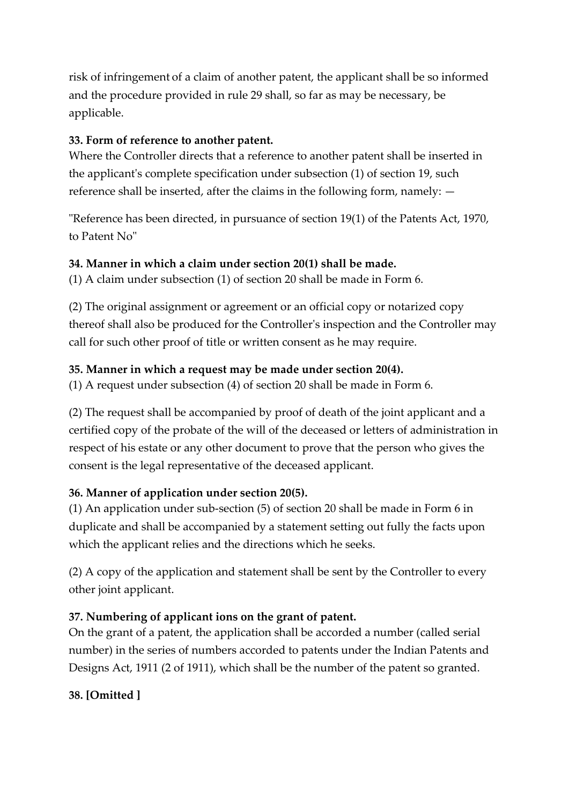risk of infringement of a claim of another patent, the applicant shall be so informed and the procedure provided in rule 29 shall, so far as may be necessary, be applicable.

## **33. Form of reference to another patent.**

Where the Controller directs that a reference to another patent shall be inserted in the applicant's complete specification under subsection (1) of section 19, such reference shall be inserted, after the claims in the following form, namely: —

"Reference has been directed, in pursuance of section 19(1) of the Patents Act, 1970, to Patent No"

## **34. Manner in which a claim under section 20(1) shall be made.**

(1) A claim under subsection (1) of section 20 shall be made in Form 6.

(2) The original assignment or agreement or an official copy or notarized copy thereof shall also be produced for the Controller's inspection and the Controller may call for such other proof of title or written consent as he may require.

## **35. Manner in which a request may be made under section 20(4).**

(1) A request under subsection (4) of section 20 shall be made in Form 6.

(2) The request shall be accompanied by proof of death of the joint applicant and a certified copy of the probate of the will of the deceased or letters of administration in respect of his estate or any other document to prove that the person who gives the consent is the legal representative of the deceased applicant.

## **36. Manner of application under section 20(5).**

(1) An application under sub-section (5) of section 20 shall be made in Form 6 in duplicate and shall be accompanied by a statement setting out fully the facts upon which the applicant relies and the directions which he seeks.

(2) A copy of the application and statement shall be sent by the Controller to every other joint applicant.

## **37. Numbering of applicant ions on the grant of patent.**

On the grant of a patent, the application shall be accorded a number (called serial number) in the series of numbers accorded to patents under the Indian Patents and Designs Act, 1911 (2 of 1911), which shall be the number of the patent so granted.

## **38. [Omitted ]**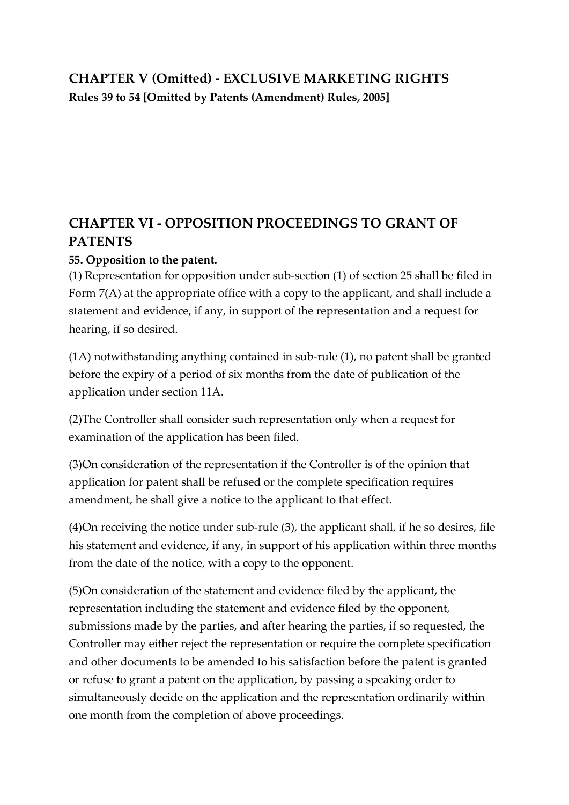# **CHAPTER V (Omitted) - EXCLUSIVE MARKETING RIGHTS Rules 39 to 54 [Omitted by Patents (Amendment) Rules, 2005]**

# **CHAPTER VI - OPPOSITION PROCEEDINGS TO GRANT OF PATENTS**

## **55. Opposition to the patent.**

(1) Representation for opposition under sub-section (1) of section 25 shall be filed in Form 7(A) at the appropriate office with a copy to the applicant, and shall include a statement and evidence, if any, in support of the representation and a request for hearing, if so desired.

(1A) notwithstanding anything contained in sub-rule (1), no patent shall be granted before the expiry of a period of six months from the date of publication of the application under section 11A.

(2)The Controller shall consider such representation only when a request for examination of the application has been filed.

(3)On consideration of the representation if the Controller is of the opinion that application for patent shall be refused or the complete specification requires amendment, he shall give a notice to the applicant to that effect.

(4)On receiving the notice under sub-rule (3), the applicant shall, if he so desires, file his statement and evidence, if any, in support of his application within three months from the date of the notice, with a copy to the opponent.

(5)On consideration of the statement and evidence filed by the applicant, the representation including the statement and evidence filed by the opponent, submissions made by the parties, and after hearing the parties, if so requested, the Controller may either reject the representation or require the complete specification and other documents to be amended to his satisfaction before the patent is granted or refuse to grant a patent on the application, by passing a speaking order to simultaneously decide on the application and the representation ordinarily within one month from the completion of above proceedings.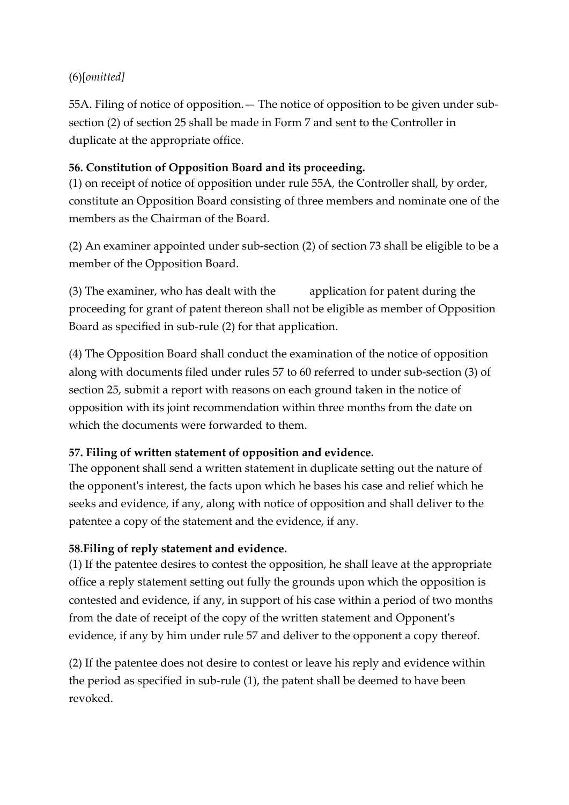## (6)[*omitted]*

55A. Filing of notice of opposition.— The notice of opposition to be given under subsection (2) of section 25 shall be made in Form 7 and sent to the Controller in duplicate at the appropriate office.

## **56. Constitution of Opposition Board and its proceeding.**

(1) on receipt of notice of opposition under rule 55A, the Controller shall, by order, constitute an Opposition Board consisting of three members and nominate one of the members as the Chairman of the Board.

(2) An examiner appointed under sub-section (2) of section 73 shall be eligible to be a member of the Opposition Board.

(3) The examiner, who has dealt with the application for patent during the proceeding for grant of patent thereon shall not be eligible as member of Opposition Board as specified in sub-rule (2) for that application.

(4) The Opposition Board shall conduct the examination of the notice of opposition along with documents filed under rules 57 to 60 referred to under sub-section (3) of section 25, submit a report with reasons on each ground taken in the notice of opposition with its joint recommendation within three months from the date on which the documents were forwarded to them.

## **57. Filing of written statement of opposition and evidence.**

The opponent shall send a written statement in duplicate setting out the nature of the opponent's interest, the facts upon which he bases his case and relief which he seeks and evidence, if any, along with notice of opposition and shall deliver to the patentee a copy of the statement and the evidence, if any.

## **58.Filing of reply statement and evidence.**

(1) If the patentee desires to contest the opposition, he shall leave at the appropriate office a reply statement setting out fully the grounds upon which the opposition is contested and evidence, if any, in support of his case within a period of two months from the date of receipt of the copy of the written statement and Opponent's evidence, if any by him under rule 57 and deliver to the opponent a copy thereof.

(2) If the patentee does not desire to contest or leave his reply and evidence within the period as specified in sub-rule (1), the patent shall be deemed to have been revoked.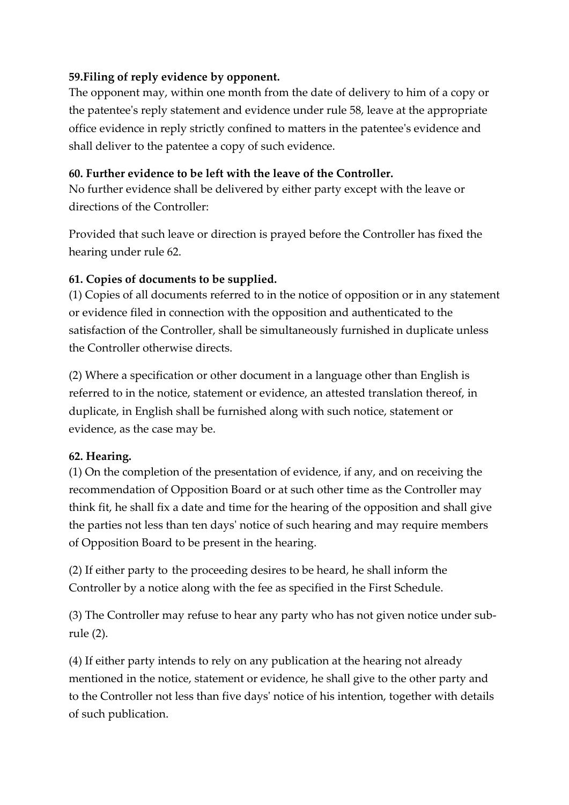#### **59.Filing of reply evidence by opponent.**

The opponent may, within one month from the date of delivery to him of a copy or the patentee's reply statement and evidence under rule 58, leave at the appropriate office evidence in reply strictly confined to matters in the patentee's evidence and shall deliver to the patentee a copy of such evidence.

#### **60. Further evidence to be left with the leave of the Controller.**

No further evidence shall be delivered by either party except with the leave or directions of the Controller:

Provided that such leave or direction is prayed before the Controller has fixed the hearing under rule 62.

#### **61. Copies of documents to be supplied.**

(1) Copies of all documents referred to in the notice of opposition or in any statement or evidence filed in connection with the opposition and authenticated to the satisfaction of the Controller, shall be simultaneously furnished in duplicate unless the Controller otherwise directs.

(2) Where a specification or other document in a language other than English is referred to in the notice, statement or evidence, an attested translation thereof, in duplicate, in English shall be furnished along with such notice, statement or evidence, as the case may be.

## **62. Hearing.**

(1) On the completion of the presentation of evidence, if any, and on receiving the recommendation of Opposition Board or at such other time as the Controller may think fit, he shall fix a date and time for the hearing of the opposition and shall give the parties not less than ten days' notice of such hearing and may require members of Opposition Board to be present in the hearing.

(2) If either party to the proceeding desires to be heard, he shall inform the Controller by a notice along with the fee as specified in the First Schedule.

(3) The Controller may refuse to hear any party who has not given notice under subrule (2).

(4) If either party intends to rely on any publication at the hearing not already mentioned in the notice, statement or evidence, he shall give to the other party and to the Controller not less than five days' notice of his intention, together with details of such publication.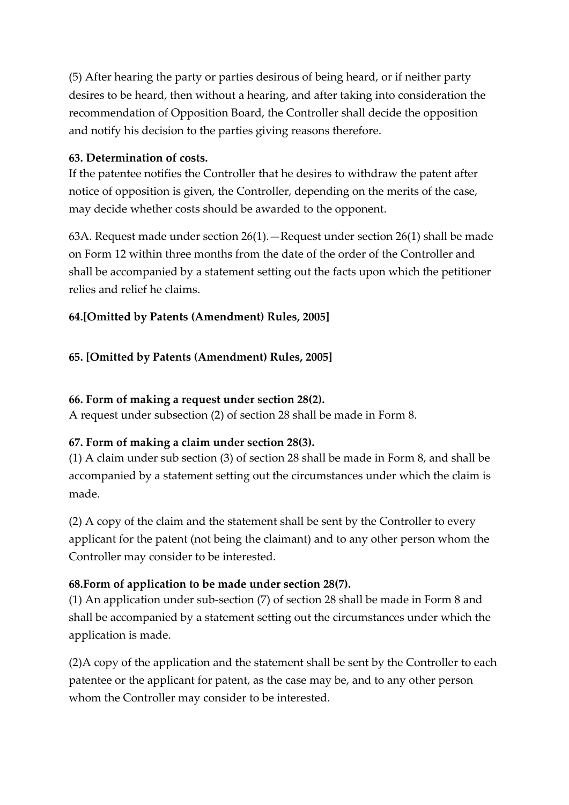(5) After hearing the party or parties desirous of being heard, or if neither party desires to be heard, then without a hearing, and after taking into consideration the recommendation of Opposition Board, the Controller shall decide the opposition and notify his decision to the parties giving reasons therefore.

#### **63. Determination of costs.**

If the patentee notifies the Controller that he desires to withdraw the patent after notice of opposition is given, the Controller, depending on the merits of the case, may decide whether costs should be awarded to the opponent.

63A. Request made under section 26(1).—Request under section 26(1) shall be made on Form 12 within three months from the date of the order of the Controller and shall be accompanied by a statement setting out the facts upon which the petitioner relies and relief he claims.

## **64.[Omitted by Patents (Amendment) Rules, 2005]**

#### **65. [Omitted by Patents (Amendment) Rules, 2005]**

#### **66. Form of making a request under section 28(2).**

A request under subsection (2) of section 28 shall be made in Form 8.

## **67. Form of making a claim under section 28(3).**

(1) A claim under sub section (3) of section 28 shall be made in Form 8, and shall be accompanied by a statement setting out the circumstances under which the claim is made.

(2) A copy of the claim and the statement shall be sent by the Controller to every applicant for the patent (not being the claimant) and to any other person whom the Controller may consider to be interested.

#### **68.Form of application to be made under section 28(7).**

(1) An application under sub-section (7) of section 28 shall be made in Form 8 and shall be accompanied by a statement setting out the circumstances under which the application is made.

(2)A copy of the application and the statement shall be sent by the Controller to each patentee or the applicant for patent, as the case may be, and to any other person whom the Controller may consider to be interested.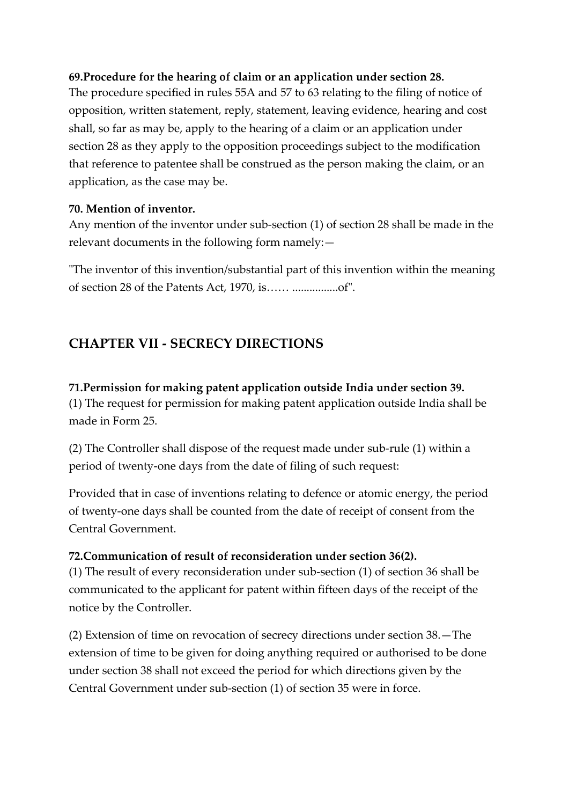#### **69.Procedure for the hearing of claim or an application under section 28.**

The procedure specified in rules 55A and 57 to 63 relating to the filing of notice of opposition, written statement, reply, statement, leaving evidence, hearing and cost shall, so far as may be, apply to the hearing of a claim or an application under section 28 as they apply to the opposition proceedings subject to the modification that reference to patentee shall be construed as the person making the claim, or an application, as the case may be.

#### **70. Mention of inventor.**

Any mention of the inventor under sub-section (1) of section 28 shall be made in the relevant documents in the following form namely:—

"The inventor of this invention/substantial part of this invention within the meaning of section 28 of the Patents Act, 1970, is…… ................of".

## **CHAPTER VII - SECRECY DIRECTIONS**

**71.Permission for making patent application outside India under section 39.** (1) The request for permission for making patent application outside India shall be made in Form 25.

(2) The Controller shall dispose of the request made under sub-rule (1) within a period of twenty-one days from the date of filing of such request:

Provided that in case of inventions relating to defence or atomic energy, the period of twenty-one days shall be counted from the date of receipt of consent from the Central Government.

#### **72.Communication of result of reconsideration under section 36(2).**

(1) The result of every reconsideration under sub-section (1) of section 36 shall be communicated to the applicant for patent within fifteen days of the receipt of the notice by the Controller.

(2) Extension of time on revocation of secrecy directions under section 38.—The extension of time to be given for doing anything required or authorised to be done under section 38 shall not exceed the period for which directions given by the Central Government under sub-section (1) of section 35 were in force.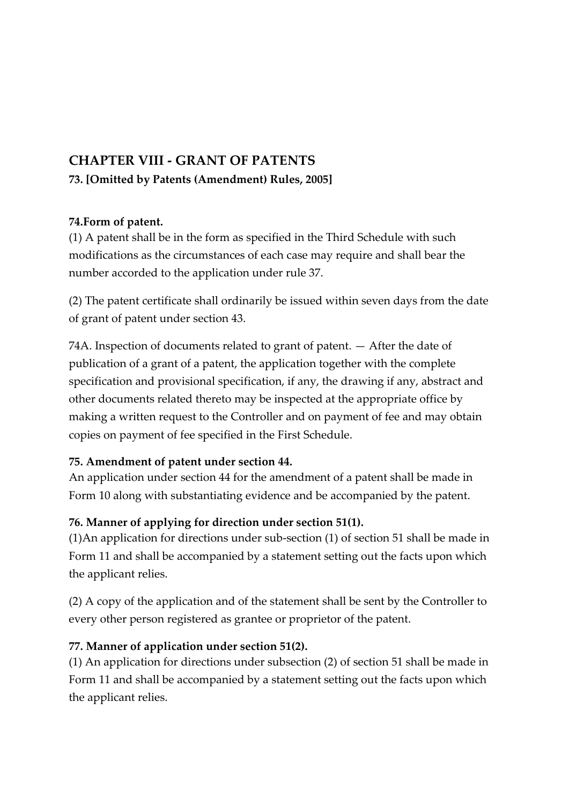# **CHAPTER VIII - GRANT OF PATENTS 73. [Omitted by Patents (Amendment) Rules, 2005]**

#### **74.Form of patent.**

(1) A patent shall be in the form as specified in the Third Schedule with such modifications as the circumstances of each case may require and shall bear the number accorded to the application under rule 37.

(2) The patent certificate shall ordinarily be issued within seven days from the date of grant of patent under section 43.

74A. Inspection of documents related to grant of patent. — After the date of publication of a grant of a patent, the application together with the complete specification and provisional specification, if any, the drawing if any, abstract and other documents related thereto may be inspected at the appropriate office by making a written request to the Controller and on payment of fee and may obtain copies on payment of fee specified in the First Schedule.

## **75. Amendment of patent under section 44.**

An application under section 44 for the amendment of a patent shall be made in Form 10 along with substantiating evidence and be accompanied by the patent.

## **76. Manner of applying for direction under section 51(1).**

(1)An application for directions under sub-section (1) of section 51 shall be made in Form 11 and shall be accompanied by a statement setting out the facts upon which the applicant relies.

(2) A copy of the application and of the statement shall be sent by the Controller to every other person registered as grantee or proprietor of the patent.

## **77. Manner of application under section 51(2).**

(1) An application for directions under subsection (2) of section 51 shall be made in Form 11 and shall be accompanied by a statement setting out the facts upon which the applicant relies.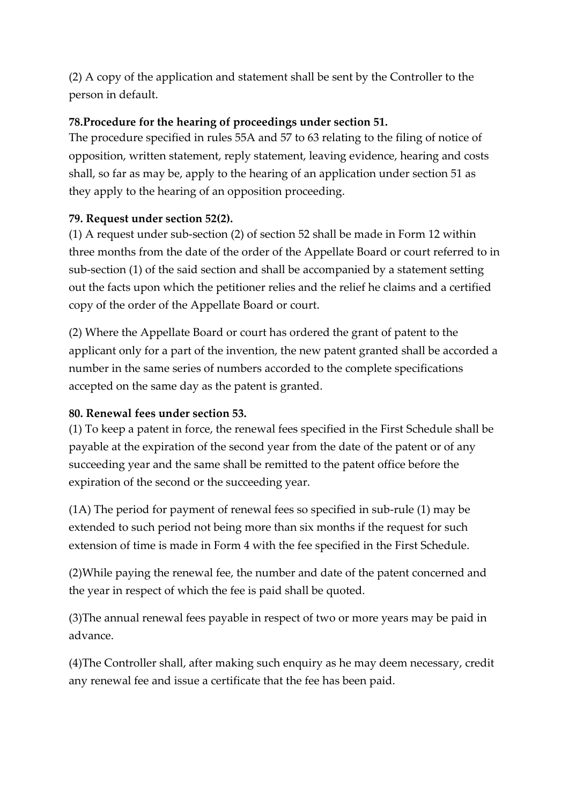(2) A copy of the application and statement shall be sent by the Controller to the person in default.

## **78.Procedure for the hearing of proceedings under section 51.**

The procedure specified in rules 55A and 57 to 63 relating to the filing of notice of opposition, written statement, reply statement, leaving evidence, hearing and costs shall, so far as may be, apply to the hearing of an application under section 51 as they apply to the hearing of an opposition proceeding.

## **79. Request under section 52(2).**

(1) A request under sub-section (2) of section 52 shall be made in Form 12 within three months from the date of the order of the Appellate Board or court referred to in sub-section (1) of the said section and shall be accompanied by a statement setting out the facts upon which the petitioner relies and the relief he claims and a certified copy of the order of the Appellate Board or court.

(2) Where the Appellate Board or court has ordered the grant of patent to the applicant only for a part of the invention, the new patent granted shall be accorded a number in the same series of numbers accorded to the complete specifications accepted on the same day as the patent is granted.

## **80. Renewal fees under section 53.**

(1) To keep a patent in force, the renewal fees specified in the First Schedule shall be payable at the expiration of the second year from the date of the patent or of any succeeding year and the same shall be remitted to the patent office before the expiration of the second or the succeeding year.

(1A) The period for payment of renewal fees so specified in sub-rule (1) may be extended to such period not being more than six months if the request for such extension of time is made in Form 4 with the fee specified in the First Schedule.

(2)While paying the renewal fee, the number and date of the patent concerned and the year in respect of which the fee is paid shall be quoted.

(3)The annual renewal fees payable in respect of two or more years may be paid in advance.

(4)The Controller shall, after making such enquiry as he may deem necessary, credit any renewal fee and issue a certificate that the fee has been paid.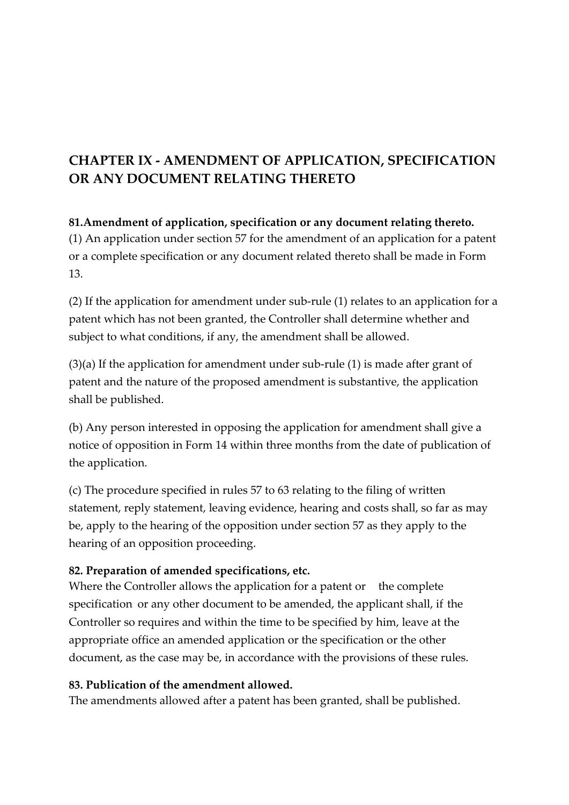# **CHAPTER IX - AMENDMENT OF APPLICATION, SPECIFICATION OR ANY DOCUMENT RELATING THERETO**

## **81.Amendment of application, specification or any document relating thereto.** (1) An application under section 57 for the amendment of an application for a patent or a complete specification or any document related thereto shall be made in Form 13.

(2) If the application for amendment under sub-rule (1) relates to an application for a patent which has not been granted, the Controller shall determine whether and subject to what conditions, if any, the amendment shall be allowed.

(3)(a) If the application for amendment under sub-rule (1) is made after grant of patent and the nature of the proposed amendment is substantive, the application shall be published.

(b) Any person interested in opposing the application for amendment shall give a notice of opposition in Form 14 within three months from the date of publication of the application.

(c) The procedure specified in rules 57 to 63 relating to the filing of written statement, reply statement, leaving evidence, hearing and costs shall, so far as may be, apply to the hearing of the opposition under section 57 as they apply to the hearing of an opposition proceeding.

## **82. Preparation of amended specifications, etc.**

Where the Controller allows the application for a patent or the complete specification or any other document to be amended, the applicant shall, if the Controller so requires and within the time to be specified by him, leave at the appropriate office an amended application or the specification or the other document, as the case may be, in accordance with the provisions of these rules.

#### **83. Publication of the amendment allowed.**

The amendments allowed after a patent has been granted, shall be published.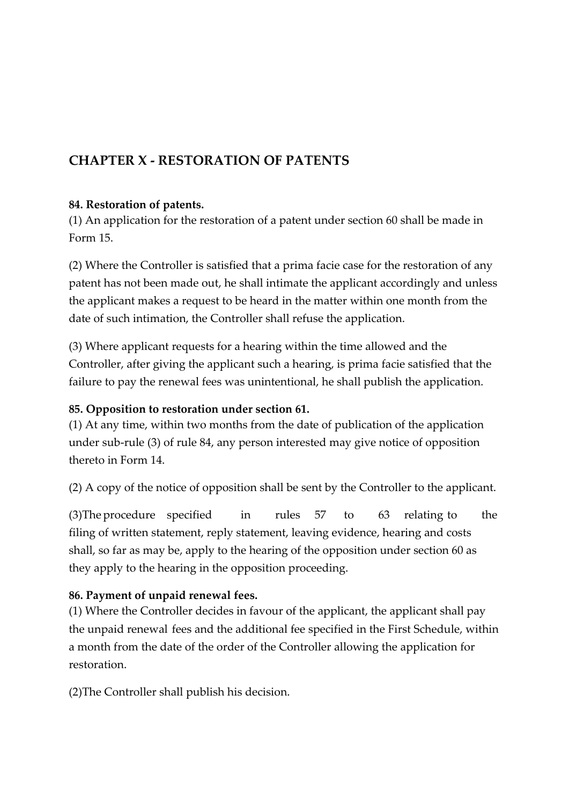## **CHAPTER X - RESTORATION OF PATENTS**

#### **84. Restoration of patents.**

(1) An application for the restoration of a patent under section 60 shall be made in Form 15.

(2) Where the Controller is satisfied that a prima facie case for the restoration of any patent has not been made out, he shall intimate the applicant accordingly and unless the applicant makes a request to be heard in the matter within one month from the date of such intimation, the Controller shall refuse the application.

(3) Where applicant requests for a hearing within the time allowed and the Controller, after giving the applicant such a hearing, is prima facie satisfied that the failure to pay the renewal fees was unintentional, he shall publish the application.

## **85. Opposition to restoration under section 61.**

(1) At any time, within two months from the date of publication of the application under sub-rule (3) of rule 84, any person interested may give notice of opposition thereto in Form 14.

(2) A copy of the notice of opposition shall be sent by the Controller to the applicant.

(3)The procedure specified in rules 57 to 63 relating to the filing of written statement, reply statement, leaving evidence, hearing and costs shall, so far as may be, apply to the hearing of the opposition under section 60 as they apply to the hearing in the opposition proceeding.

## **86. Payment of unpaid renewal fees.**

(1) Where the Controller decides in favour of the applicant, the applicant shall pay the unpaid renewal fees and the additional fee specified in the First Schedule, within a month from the date of the order of the Controller allowing the application for restoration.

(2)The Controller shall publish his decision.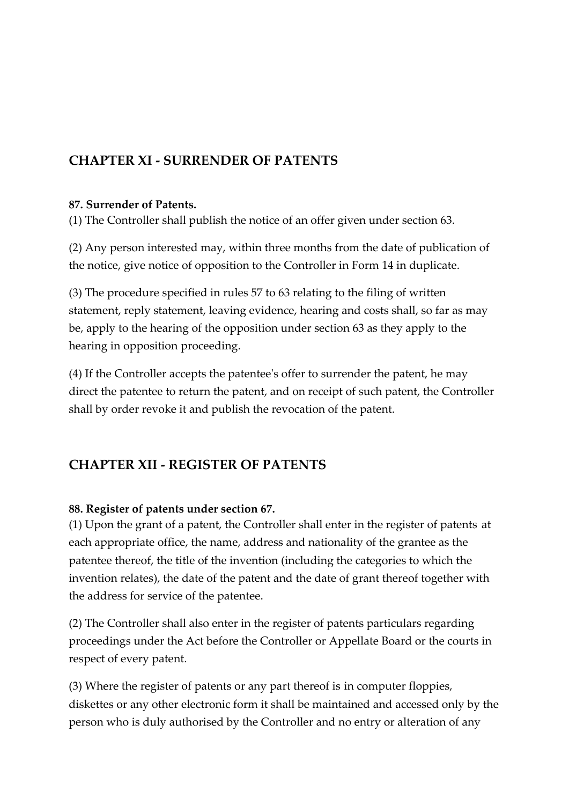## **CHAPTER XI - SURRENDER OF PATENTS**

#### **87. Surrender of Patents.**

(1) The Controller shall publish the notice of an offer given under section 63.

(2) Any person interested may, within three months from the date of publication of the notice, give notice of opposition to the Controller in Form 14 in duplicate.

(3) The procedure specified in rules 57 to 63 relating to the filing of written statement, reply statement, leaving evidence, hearing and costs shall, so far as may be, apply to the hearing of the opposition under section 63 as they apply to the hearing in opposition proceeding.

(4) If the Controller accepts the patentee's offer to surrender the patent, he may direct the patentee to return the patent, and on receipt of such patent, the Controller shall by order revoke it and publish the revocation of the patent.

## **CHAPTER XII - REGISTER OF PATENTS**

## **88. Register of patents under section 67.**

(1) Upon the grant of a patent, the Controller shall enter in the register of patents at each appropriate office, the name, address and nationality of the grantee as the patentee thereof, the title of the invention (including the categories to which the invention relates), the date of the patent and the date of grant thereof together with the address for service of the patentee.

(2) The Controller shall also enter in the register of patents particulars regarding proceedings under the Act before the Controller or Appellate Board or the courts in respect of every patent.

(3) Where the register of patents or any part thereof is in computer floppies, diskettes or any other electronic form it shall be maintained and accessed only by the person who is duly authorised by the Controller and no entry or alteration of any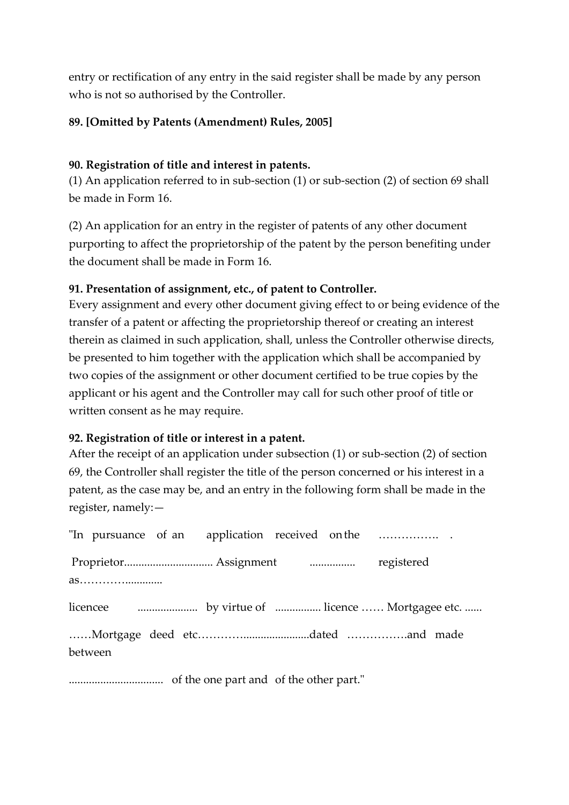entry or rectification of any entry in the said register shall be made by any person who is not so authorised by the Controller.

#### **89. [Omitted by Patents (Amendment) Rules, 2005]**

#### **90. Registration of title and interest in patents.**

(1) An application referred to in sub-section (1) or sub-section (2) of section 69 shall be made in Form 16.

(2) An application for an entry in the register of patents of any other document purporting to affect the proprietorship of the patent by the person benefiting under the document shall be made in Form 16.

#### **91. Presentation of assignment, etc., of patent to Controller.**

Every assignment and every other document giving effect to or being evidence of the transfer of a patent or affecting the proprietorship thereof or creating an interest therein as claimed in such application, shall, unless the Controller otherwise directs, be presented to him together with the application which shall be accompanied by two copies of the assignment or other document certified to be true copies by the applicant or his agent and the Controller may call for such other proof of title or written consent as he may require.

#### **92. Registration of title or interest in a patent.**

After the receipt of an application under subsection (1) or sub-section (2) of section 69, the Controller shall register the title of the person concerned or his interest in a patent, as the case may be, and an entry in the following form shall be made in the register, namely:—

| as      |  |  |  |
|---------|--|--|--|
|         |  |  |  |
|         |  |  |  |
|         |  |  |  |
| between |  |  |  |
|         |  |  |  |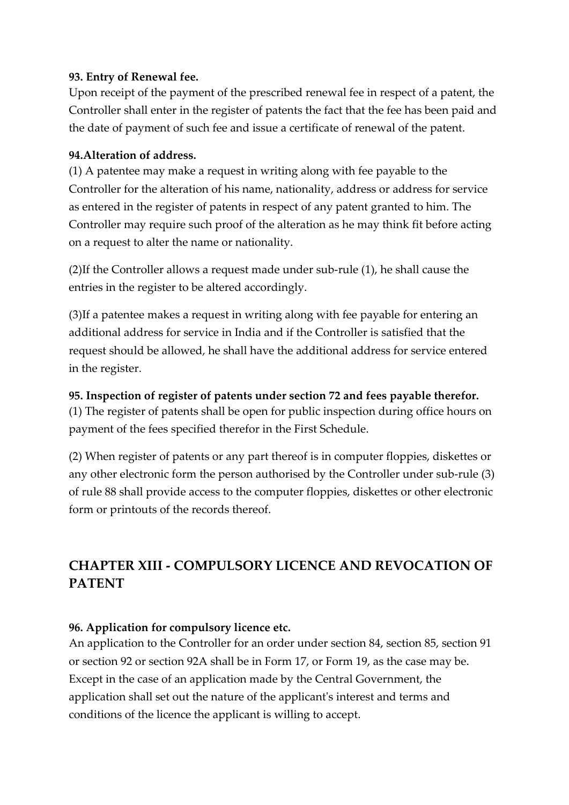#### **93. Entry of Renewal fee.**

Upon receipt of the payment of the prescribed renewal fee in respect of a patent, the Controller shall enter in the register of patents the fact that the fee has been paid and the date of payment of such fee and issue a certificate of renewal of the patent.

#### **94.Alteration of address.**

(1) A patentee may make a request in writing along with fee payable to the Controller for the alteration of his name, nationality, address or address for service as entered in the register of patents in respect of any patent granted to him. The Controller may require such proof of the alteration as he may think fit before acting on a request to alter the name or nationality.

(2)If the Controller allows a request made under sub-rule (1), he shall cause the entries in the register to be altered accordingly.

(3)If a patentee makes a request in writing along with fee payable for entering an additional address for service in India and if the Controller is satisfied that the request should be allowed, he shall have the additional address for service entered in the register.

#### **95. Inspection of register of patents under section 72 and fees payable therefor.**

(1) The register of patents shall be open for public inspection during office hours on payment of the fees specified therefor in the First Schedule.

(2) When register of patents or any part thereof is in computer floppies, diskettes or any other electronic form the person authorised by the Controller under sub-rule (3) of rule 88 shall provide access to the computer floppies, diskettes or other electronic form or printouts of the records thereof.

# **CHAPTER XIII - COMPULSORY LICENCE AND REVOCATION OF PATENT**

## **96. Application for compulsory licence etc.**

An application to the Controller for an order under section 84, section 85, section 91 or section 92 or section 92A shall be in Form 17, or Form 19, as the case may be. Except in the case of an application made by the Central Government, the application shall set out the nature of the applicant's interest and terms and conditions of the licence the applicant is willing to accept.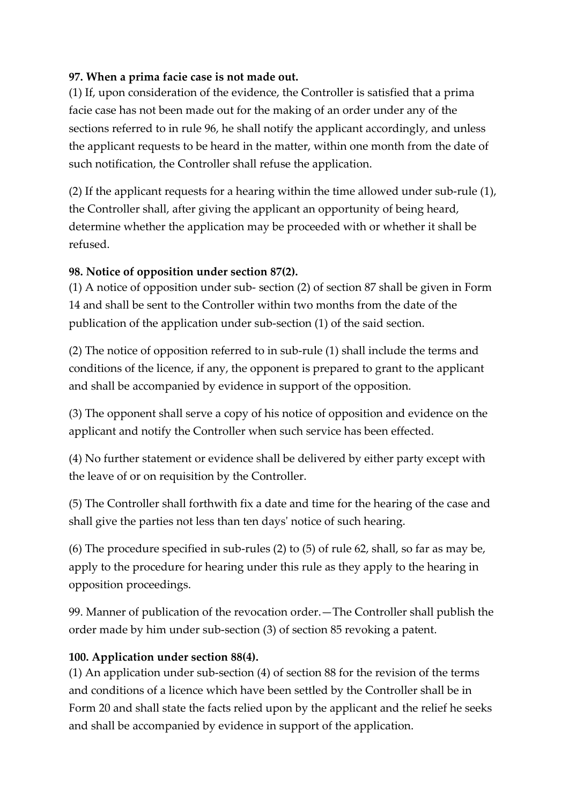#### **97. When a prima facie case is not made out.**

(1) If, upon consideration of the evidence, the Controller is satisfied that a prima facie case has not been made out for the making of an order under any of the sections referred to in rule 96, he shall notify the applicant accordingly, and unless the applicant requests to be heard in the matter, within one month from the date of such notification, the Controller shall refuse the application.

(2) If the applicant requests for a hearing within the time allowed under sub-rule (1), the Controller shall, after giving the applicant an opportunity of being heard, determine whether the application may be proceeded with or whether it shall be refused.

## **98. Notice of opposition under section 87(2).**

(1) A notice of opposition under sub- section (2) of section 87 shall be given in Form 14 and shall be sent to the Controller within two months from the date of the publication of the application under sub-section (1) of the said section.

(2) The notice of opposition referred to in sub-rule (1) shall include the terms and conditions of the licence, if any, the opponent is prepared to grant to the applicant and shall be accompanied by evidence in support of the opposition.

(3) The opponent shall serve a copy of his notice of opposition and evidence on the applicant and notify the Controller when such service has been effected.

(4) No further statement or evidence shall be delivered by either party except with the leave of or on requisition by the Controller.

(5) The Controller shall forthwith fix a date and time for the hearing of the case and shall give the parties not less than ten days' notice of such hearing.

(6) The procedure specified in sub-rules (2) to (5) of rule 62, shall, so far as may be, apply to the procedure for hearing under this rule as they apply to the hearing in opposition proceedings.

99. Manner of publication of the revocation order.—The Controller shall publish the order made by him under sub-section (3) of section 85 revoking a patent.

## **100. Application under section 88(4).**

(1) An application under sub-section (4) of section 88 for the revision of the terms and conditions of a licence which have been settled by the Controller shall be in Form 20 and shall state the facts relied upon by the applicant and the relief he seeks and shall be accompanied by evidence in support of the application.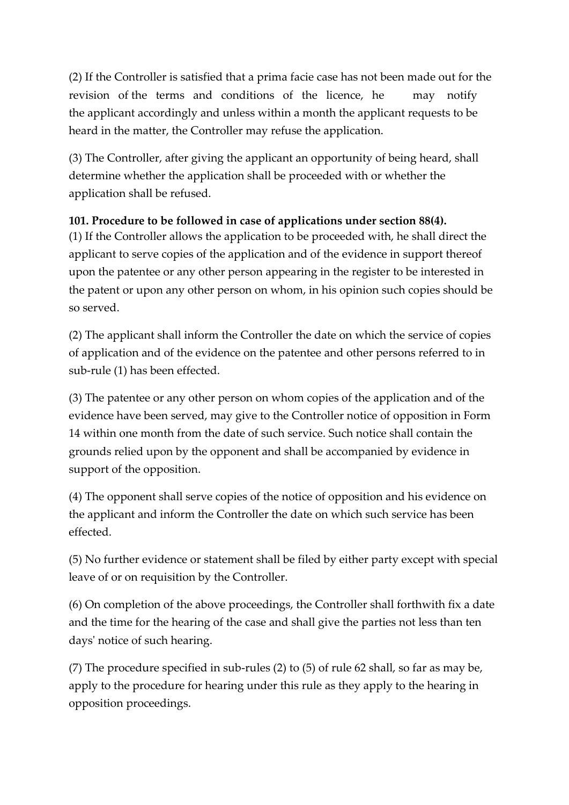(2) If the Controller is satisfied that a prima facie case has not been made out for the revision of the terms and conditions of the licence, he may notify the applicant accordingly and unless within a month the applicant requests to be heard in the matter, the Controller may refuse the application.

(3) The Controller, after giving the applicant an opportunity of being heard, shall determine whether the application shall be proceeded with or whether the application shall be refused.

#### **101. Procedure to be followed in case of applications under section 88(4).**

(1) If the Controller allows the application to be proceeded with, he shall direct the applicant to serve copies of the application and of the evidence in support thereof upon the patentee or any other person appearing in the register to be interested in the patent or upon any other person on whom, in his opinion such copies should be so served.

(2) The applicant shall inform the Controller the date on which the service of copies of application and of the evidence on the patentee and other persons referred to in sub-rule (1) has been effected.

(3) The patentee or any other person on whom copies of the application and of the evidence have been served, may give to the Controller notice of opposition in Form 14 within one month from the date of such service. Such notice shall contain the grounds relied upon by the opponent and shall be accompanied by evidence in support of the opposition.

(4) The opponent shall serve copies of the notice of opposition and his evidence on the applicant and inform the Controller the date on which such service has been effected.

(5) No further evidence or statement shall be filed by either party except with special leave of or on requisition by the Controller.

(6) On completion of the above proceedings, the Controller shall forthwith fix a date and the time for the hearing of the case and shall give the parties not less than ten days' notice of such hearing.

(7) The procedure specified in sub-rules (2) to (5) of rule 62 shall, so far as may be, apply to the procedure for hearing under this rule as they apply to the hearing in opposition proceedings.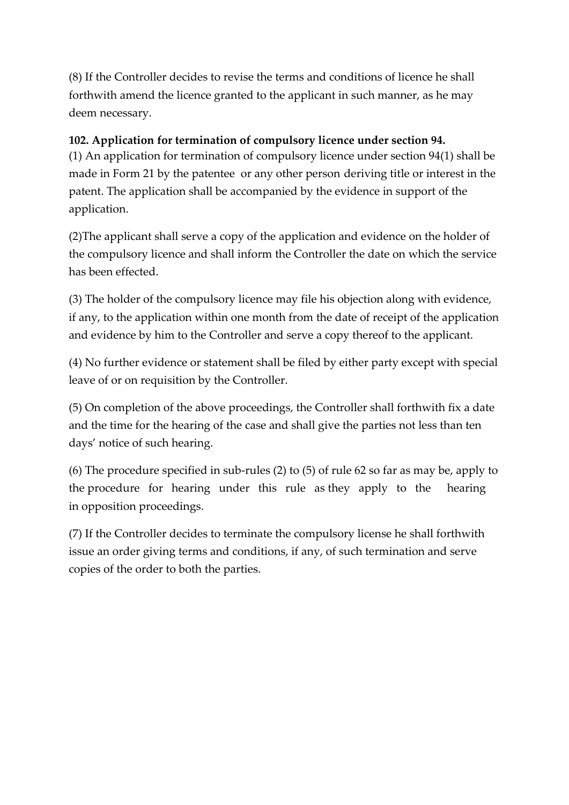(8) If the Controller decides to revise the terms and conditions of licence he shall forthwith amend the licence granted to the applicant in such manner, as he may deem necessary.

#### **102. Application for termination of compulsory licence under section 94.**

(1) An application for termination of compulsory licence under section 94(1) shall be made in Form 21 by the patentee or any other person deriving title or interest in the patent. The application shall be accompanied by the evidence in support of the application.

(2)The applicant shall serve a copy of the application and evidence on the holder of the compulsory licence and shall inform the Controller the date on which the service has been effected.

(3) The holder of the compulsory licence may file his objection along with evidence, if any, to the application within one month from the date of receipt of the application and evidence by him to the Controller and serve a copy thereof to the applicant.

(4) No further evidence or statement shall be filed by either party except with special leave of or on requisition by the Controller.

(5) On completion of the above proceedings, the Controller shall forthwith fix a date and the time for the hearing of the case and shall give the parties not less than ten days' notice of such hearing.

(6) The procedure specified in sub-rules (2) to (5) of rule 62 so far as may be, apply to the procedure for hearing under this rule as they apply to the hearing in opposition proceedings.

(7) If the Controller decides to terminate the compulsory license he shall forthwith issue an order giving terms and conditions, if any, of such termination and serve copies of the order to both the parties.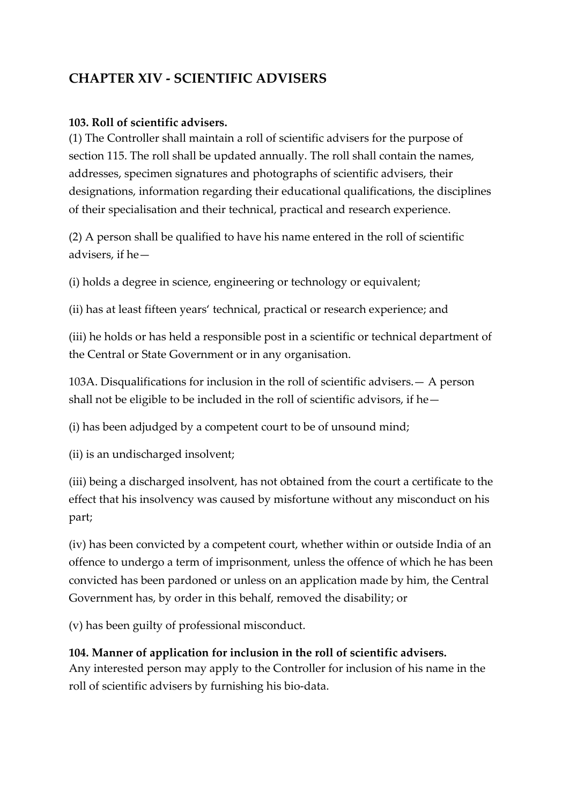## **CHAPTER XIV - SCIENTIFIC ADVISERS**

#### **103. Roll of scientific advisers.**

(1) The Controller shall maintain a roll of scientific advisers for the purpose of section 115. The roll shall be updated annually. The roll shall contain the names, addresses, specimen signatures and photographs of scientific advisers, their designations, information regarding their educational qualifications, the disciplines of their specialisation and their technical, practical and research experience.

(2) A person shall be qualified to have his name entered in the roll of scientific advisers, if he—

(i) holds a degree in science, engineering or technology or equivalent;

(ii) has at least fifteen years' technical, practical or research experience; and

(iii) he holds or has held a responsible post in a scientific or technical department of the Central or State Government or in any organisation.

103A. Disqualifications for inclusion in the roll of scientific advisers.— A person shall not be eligible to be included in the roll of scientific advisors, if he—

(i) has been adjudged by a competent court to be of unsound mind;

(ii) is an undischarged insolvent;

(iii) being a discharged insolvent, has not obtained from the court a certificate to the effect that his insolvency was caused by misfortune without any misconduct on his part;

(iv) has been convicted by a competent court, whether within or outside India of an offence to undergo a term of imprisonment, unless the offence of which he has been convicted has been pardoned or unless on an application made by him, the Central Government has, by order in this behalf, removed the disability; or

(v) has been guilty of professional misconduct.

## **104. Manner of application for inclusion in the roll of scientific advisers.** Any interested person may apply to the Controller for inclusion of his name in the roll of scientific advisers by furnishing his bio-data.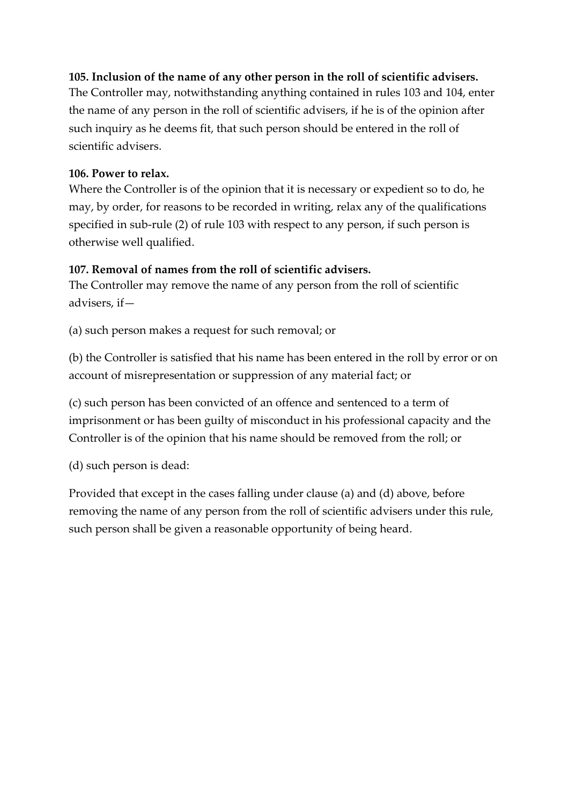### **105. Inclusion of the name of any other person in the roll of scientific advisers.**

The Controller may, notwithstanding anything contained in rules 103 and 104, enter the name of any person in the roll of scientific advisers, if he is of the opinion after such inquiry as he deems fit, that such person should be entered in the roll of scientific advisers.

#### **106. Power to relax.**

Where the Controller is of the opinion that it is necessary or expedient so to do, he may, by order, for reasons to be recorded in writing, relax any of the qualifications specified in sub-rule (2) of rule 103 with respect to any person, if such person is otherwise well qualified.

## **107. Removal of names from the roll of scientific advisers.**

The Controller may remove the name of any person from the roll of scientific advisers, if—

(a) such person makes a request for such removal; or

(b) the Controller is satisfied that his name has been entered in the roll by error or on account of misrepresentation or suppression of any material fact; or

(c) such person has been convicted of an offence and sentenced to a term of imprisonment or has been guilty of misconduct in his professional capacity and the Controller is of the opinion that his name should be removed from the roll; or

(d) such person is dead:

Provided that except in the cases falling under clause (a) and (d) above, before removing the name of any person from the roll of scientific advisers under this rule, such person shall be given a reasonable opportunity of being heard.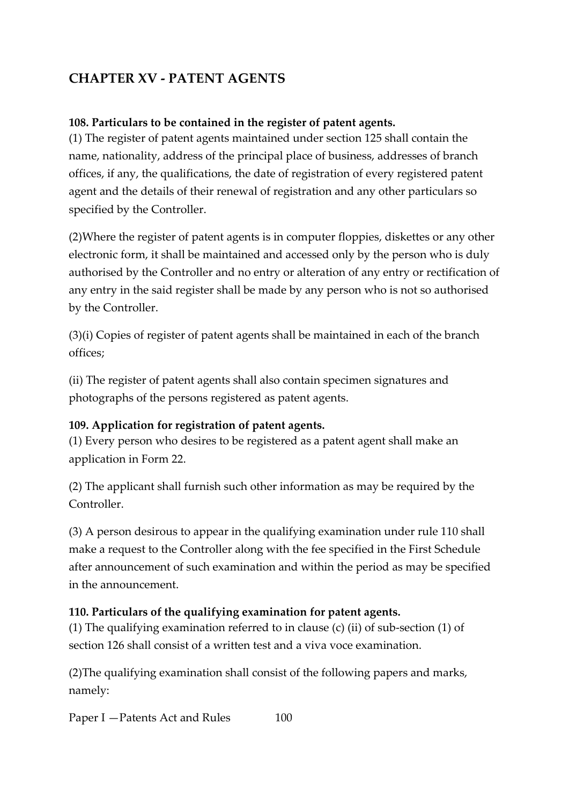# **CHAPTER XV - PATENT AGENTS**

#### **108. Particulars to be contained in the register of patent agents.**

(1) The register of patent agents maintained under section 125 shall contain the name, nationality, address of the principal place of business, addresses of branch offices, if any, the qualifications, the date of registration of every registered patent agent and the details of their renewal of registration and any other particulars so specified by the Controller.

(2)Where the register of patent agents is in computer floppies, diskettes or any other electronic form, it shall be maintained and accessed only by the person who is duly authorised by the Controller and no entry or alteration of any entry or rectification of any entry in the said register shall be made by any person who is not so authorised by the Controller.

(3)(i) Copies of register of patent agents shall be maintained in each of the branch offices;

(ii) The register of patent agents shall also contain specimen signatures and photographs of the persons registered as patent agents.

## **109. Application for registration of patent agents.**

(1) Every person who desires to be registered as a patent agent shall make an application in Form 22.

(2) The applicant shall furnish such other information as may be required by the Controller.

(3) A person desirous to appear in the qualifying examination under rule 110 shall make a request to the Controller along with the fee specified in the First Schedule after announcement of such examination and within the period as may be specified in the announcement.

#### **110. Particulars of the qualifying examination for patent agents.**

(1) The qualifying examination referred to in clause (c) (ii) of sub-section (1) of section 126 shall consist of a written test and a viva voce examination.

(2)The qualifying examination shall consist of the following papers and marks, namely:

Paper I – Patents Act and Rules 100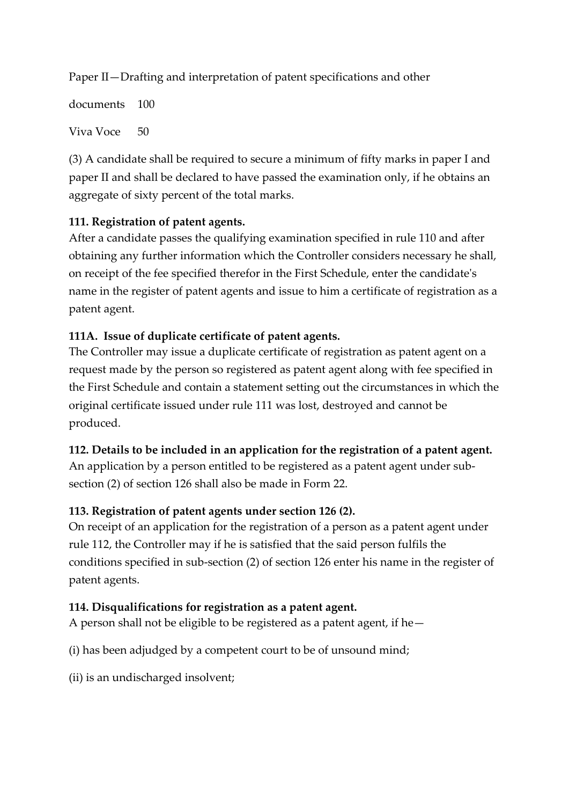Paper II—Drafting and interpretation of patent specifications and other

documents 100 Viva Voce 50

(3) A candidate shall be required to secure a minimum of fifty marks in paper I and paper II and shall be declared to have passed the examination only, if he obtains an aggregate of sixty percent of the total marks.

## **111. Registration of patent agents.**

After a candidate passes the qualifying examination specified in rule 110 and after obtaining any further information which the Controller considers necessary he shall, on receipt of the fee specified therefor in the First Schedule, enter the candidate's name in the register of patent agents and issue to him a certificate of registration as a patent agent.

#### **111A. Issue of duplicate certificate of patent agents.**

The Controller may issue a duplicate certificate of registration as patent agent on a request made by the person so registered as patent agent along with fee specified in the First Schedule and contain a statement setting out the circumstances in which the original certificate issued under rule 111 was lost, destroyed and cannot be produced.

#### **112. Details to be included in an application for the registration of a patent agent.**

An application by a person entitled to be registered as a patent agent under subsection (2) of section 126 shall also be made in Form 22.

## **113. Registration of patent agents under section 126 (2).**

On receipt of an application for the registration of a person as a patent agent under rule 112, the Controller may if he is satisfied that the said person fulfils the conditions specified in sub-section (2) of section 126 enter his name in the register of patent agents.

#### **114. Disqualifications for registration as a patent agent.**

A person shall not be eligible to be registered as a patent agent, if he—

(i) has been adjudged by a competent court to be of unsound mind;

(ii) is an undischarged insolvent;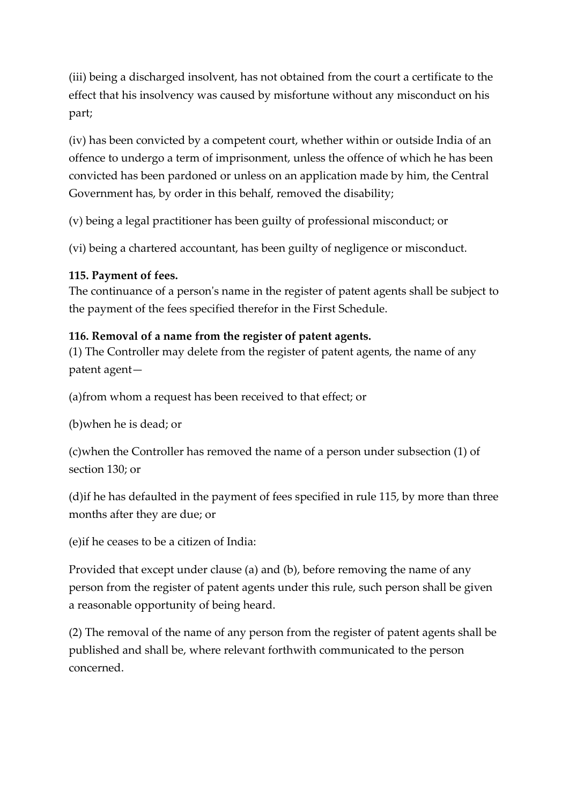(iii) being a discharged insolvent, has not obtained from the court a certificate to the effect that his insolvency was caused by misfortune without any misconduct on his part;

(iv) has been convicted by a competent court, whether within or outside India of an offence to undergo a term of imprisonment, unless the offence of which he has been convicted has been pardoned or unless on an application made by him, the Central Government has, by order in this behalf, removed the disability;

(v) being a legal practitioner has been guilty of professional misconduct; or

(vi) being a chartered accountant, has been guilty of negligence or misconduct.

#### **115. Payment of fees.**

The continuance of a person's name in the register of patent agents shall be subject to the payment of the fees specified therefor in the First Schedule.

#### **116. Removal of a name from the register of patent agents.**

(1) The Controller may delete from the register of patent agents, the name of any patent agent—

(a)from whom a request has been received to that effect; or

(b)when he is dead; or

(c)when the Controller has removed the name of a person under subsection (1) of section 130; or

(d)if he has defaulted in the payment of fees specified in rule 115, by more than three months after they are due; or

(e)if he ceases to be a citizen of India:

Provided that except under clause (a) and (b), before removing the name of any person from the register of patent agents under this rule, such person shall be given a reasonable opportunity of being heard.

(2) The removal of the name of any person from the register of patent agents shall be published and shall be, where relevant forthwith communicated to the person concerned.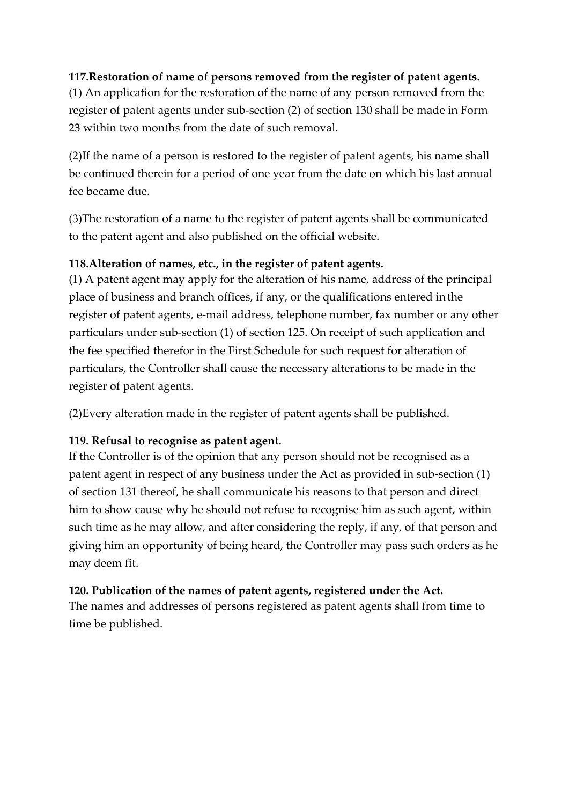## **117.Restoration of name of persons removed from the register of patent agents.**

(1) An application for the restoration of the name of any person removed from the register of patent agents under sub-section (2) of section 130 shall be made in Form 23 within two months from the date of such removal.

(2)If the name of a person is restored to the register of patent agents, his name shall be continued therein for a period of one year from the date on which his last annual fee became due.

(3)The restoration of a name to the register of patent agents shall be communicated to the patent agent and also published on the official website.

#### **118.Alteration of names, etc., in the register of patent agents.**

(1) A patent agent may apply for the alteration of his name, address of the principal place of business and branch offices, if any, or the qualifications entered inthe register of patent agents, e-mail address, telephone number, fax number or any other particulars under sub-section (1) of section 125. On receipt of such application and the fee specified therefor in the First Schedule for such request for alteration of particulars, the Controller shall cause the necessary alterations to be made in the register of patent agents.

(2)Every alteration made in the register of patent agents shall be published.

## **119. Refusal to recognise as patent agent.**

If the Controller is of the opinion that any person should not be recognised as a patent agent in respect of any business under the Act as provided in sub-section (1) of section 131 thereof, he shall communicate his reasons to that person and direct him to show cause why he should not refuse to recognise him as such agent, within such time as he may allow, and after considering the reply, if any, of that person and giving him an opportunity of being heard, the Controller may pass such orders as he may deem fit.

#### **120. Publication of the names of patent agents, registered under the Act.**

The names and addresses of persons registered as patent agents shall from time to time be published.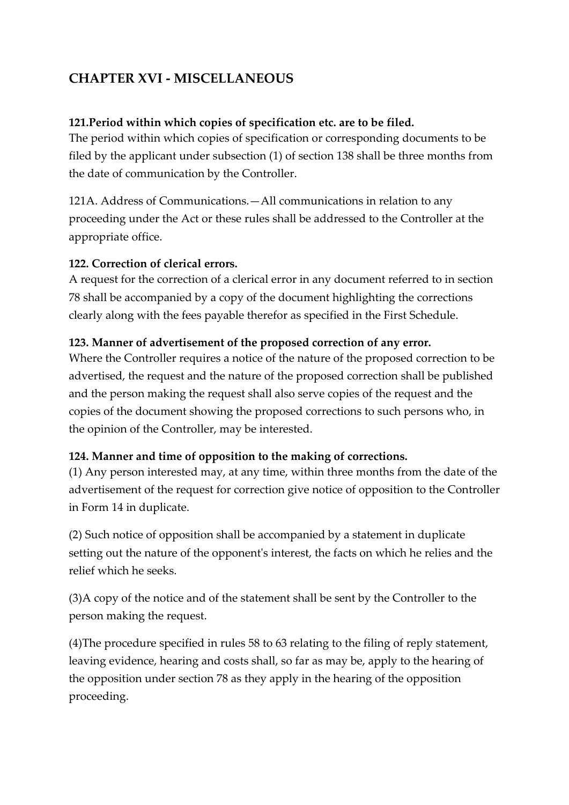# **CHAPTER XVI - MISCELLANEOUS**

#### **121.Period within which copies of specification etc. are to be filed.**

The period within which copies of specification or corresponding documents to be filed by the applicant under subsection (1) of section 138 shall be three months from the date of communication by the Controller.

121A. Address of Communications.—All communications in relation to any proceeding under the Act or these rules shall be addressed to the Controller at the appropriate office.

#### **122. Correction of clerical errors.**

A request for the correction of a clerical error in any document referred to in section 78 shall be accompanied by a copy of the document highlighting the corrections clearly along with the fees payable therefor as specified in the First Schedule.

#### **123. Manner of advertisement of the proposed correction of any error.**

Where the Controller requires a notice of the nature of the proposed correction to be advertised, the request and the nature of the proposed correction shall be published and the person making the request shall also serve copies of the request and the copies of the document showing the proposed corrections to such persons who, in the opinion of the Controller, may be interested.

#### **124. Manner and time of opposition to the making of corrections.**

(1) Any person interested may, at any time, within three months from the date of the advertisement of the request for correction give notice of opposition to the Controller in Form 14 in duplicate.

(2) Such notice of opposition shall be accompanied by a statement in duplicate setting out the nature of the opponent's interest, the facts on which he relies and the relief which he seeks.

(3)A copy of the notice and of the statement shall be sent by the Controller to the person making the request.

(4)The procedure specified in rules 58 to 63 relating to the filing of reply statement, leaving evidence, hearing and costs shall, so far as may be, apply to the hearing of the opposition under section 78 as they apply in the hearing of the opposition proceeding.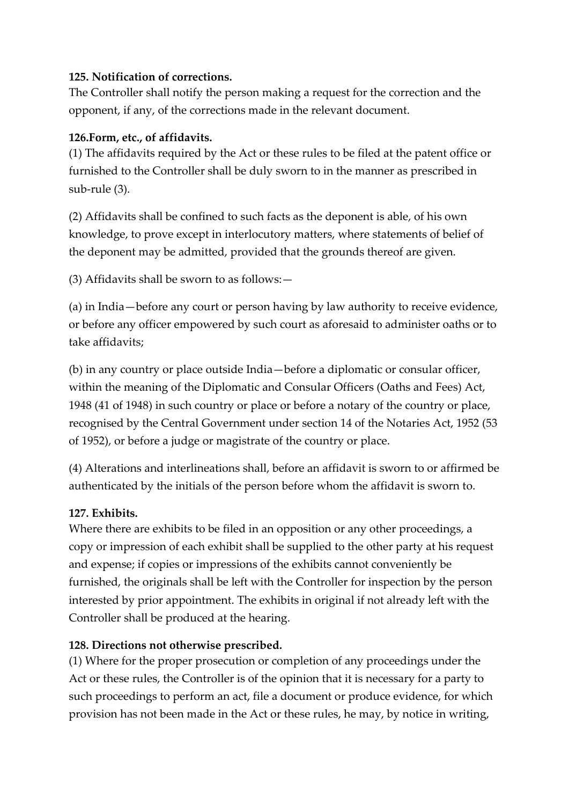#### **125. Notification of corrections.**

The Controller shall notify the person making a request for the correction and the opponent, if any, of the corrections made in the relevant document.

#### **126.Form, etc., of affidavits.**

(1) The affidavits required by the Act or these rules to be filed at the patent office or furnished to the Controller shall be duly sworn to in the manner as prescribed in sub-rule (3).

(2) Affidavits shall be confined to such facts as the deponent is able, of his own knowledge, to prove except in interlocutory matters, where statements of belief of the deponent may be admitted, provided that the grounds thereof are given.

(3) Affidavits shall be sworn to as follows:—

(a) in India—before any court or person having by law authority to receive evidence, or before any officer empowered by such court as aforesaid to administer oaths or to take affidavits;

(b) in any country or place outside India—before a diplomatic or consular officer, within the meaning of the Diplomatic and Consular Officers (Oaths and Fees) Act, 1948 (41 of 1948) in such country or place or before a notary of the country or place, recognised by the Central Government under section 14 of the Notaries Act, 1952 (53 of 1952), or before a judge or magistrate of the country or place.

(4) Alterations and interlineations shall, before an affidavit is sworn to or affirmed be authenticated by the initials of the person before whom the affidavit is sworn to.

## **127. Exhibits.**

Where there are exhibits to be filed in an opposition or any other proceedings, a copy or impression of each exhibit shall be supplied to the other party at his request and expense; if copies or impressions of the exhibits cannot conveniently be furnished, the originals shall be left with the Controller for inspection by the person interested by prior appointment. The exhibits in original if not already left with the Controller shall be produced at the hearing.

## **128. Directions not otherwise prescribed.**

(1) Where for the proper prosecution or completion of any proceedings under the Act or these rules, the Controller is of the opinion that it is necessary for a party to such proceedings to perform an act, file a document or produce evidence, for which provision has not been made in the Act or these rules, he may, by notice in writing,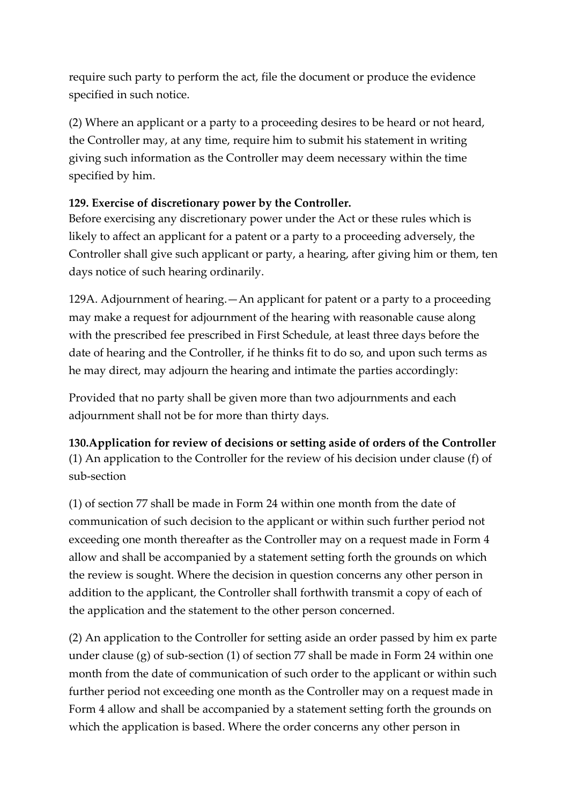require such party to perform the act, file the document or produce the evidence specified in such notice.

(2) Where an applicant or a party to a proceeding desires to be heard or not heard, the Controller may, at any time, require him to submit his statement in writing giving such information as the Controller may deem necessary within the time specified by him.

## **129. Exercise of discretionary power by the Controller.**

Before exercising any discretionary power under the Act or these rules which is likely to affect an applicant for a patent or a party to a proceeding adversely, the Controller shall give such applicant or party, a hearing, after giving him or them, ten days notice of such hearing ordinarily.

129A. Adjournment of hearing.—An applicant for patent or a party to a proceeding may make a request for adjournment of the hearing with reasonable cause along with the prescribed fee prescribed in First Schedule, at least three days before the date of hearing and the Controller, if he thinks fit to do so, and upon such terms as he may direct, may adjourn the hearing and intimate the parties accordingly:

Provided that no party shall be given more than two adjournments and each adjournment shall not be for more than thirty days.

## **130.Application for review of decisions or setting aside of orders of the Controller** (1) An application to the Controller for the review of his decision under clause (f) of sub-section

(1) of section 77 shall be made in Form 24 within one month from the date of communication of such decision to the applicant or within such further period not exceeding one month thereafter as the Controller may on a request made in Form 4 allow and shall be accompanied by a statement setting forth the grounds on which the review is sought. Where the decision in question concerns any other person in addition to the applicant, the Controller shall forthwith transmit a copy of each of the application and the statement to the other person concerned.

(2) An application to the Controller for setting aside an order passed by him ex parte under clause (g) of sub-section (1) of section 77 shall be made in Form 24 within one month from the date of communication of such order to the applicant or within such further period not exceeding one month as the Controller may on a request made in Form 4 allow and shall be accompanied by a statement setting forth the grounds on which the application is based. Where the order concerns any other person in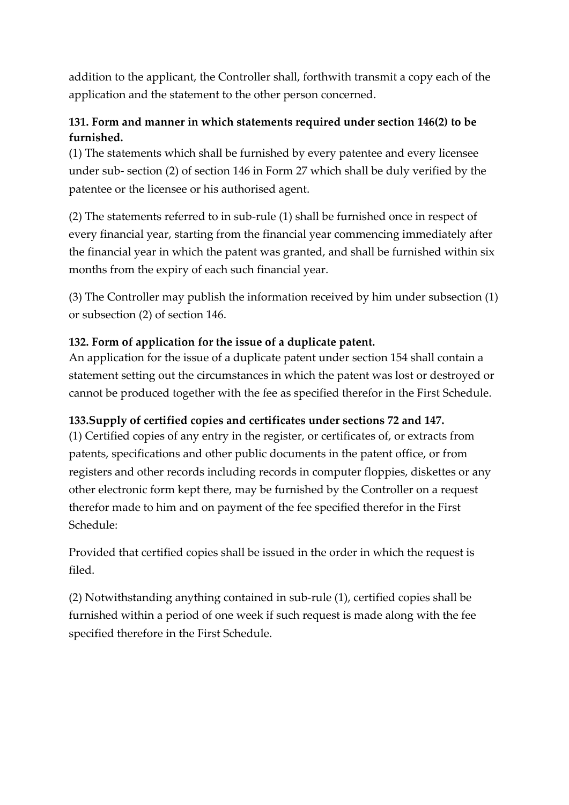addition to the applicant, the Controller shall, forthwith transmit a copy each of the application and the statement to the other person concerned.

## **131. Form and manner in which statements required under section 146(2) to be furnished.**

(1) The statements which shall be furnished by every patentee and every licensee under sub- section (2) of section 146 in Form 27 which shall be duly verified by the patentee or the licensee or his authorised agent.

(2) The statements referred to in sub-rule (1) shall be furnished once in respect of every financial year, starting from the financial year commencing immediately after the financial year in which the patent was granted, and shall be furnished within six months from the expiry of each such financial year.

(3) The Controller may publish the information received by him under subsection (1) or subsection (2) of section 146.

## **132. Form of application for the issue of a duplicate patent.**

An application for the issue of a duplicate patent under section 154 shall contain a statement setting out the circumstances in which the patent was lost or destroyed or cannot be produced together with the fee as specified therefor in the First Schedule.

## **133.Supply of certified copies and certificates under sections 72 and 147.**

(1) Certified copies of any entry in the register, or certificates of, or extracts from patents, specifications and other public documents in the patent office, or from registers and other records including records in computer floppies, diskettes or any other electronic form kept there, may be furnished by the Controller on a request therefor made to him and on payment of the fee specified therefor in the First Schedule:

Provided that certified copies shall be issued in the order in which the request is filed.

(2) Notwithstanding anything contained in sub-rule (1), certified copies shall be furnished within a period of one week if such request is made along with the fee specified therefore in the First Schedule.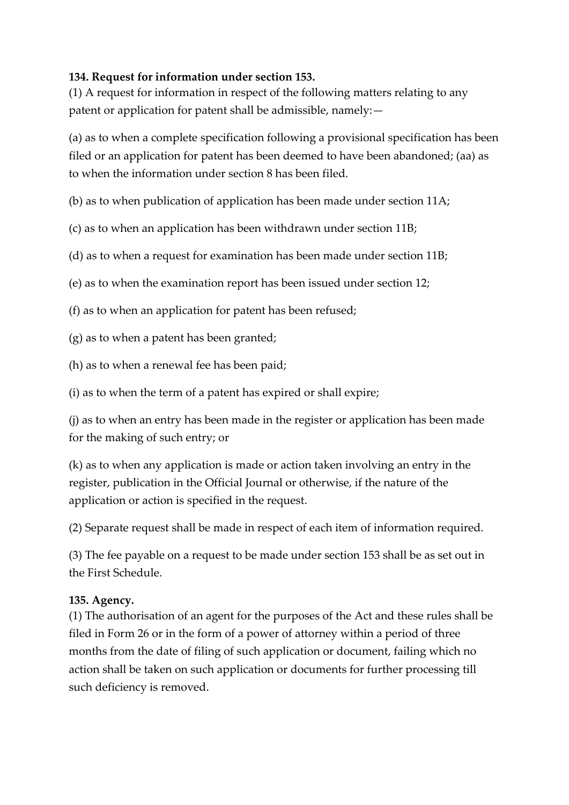#### **134. Request for information under section 153.**

(1) A request for information in respect of the following matters relating to any patent or application for patent shall be admissible, namely:—

(a) as to when a complete specification following a provisional specification has been filed or an application for patent has been deemed to have been abandoned; (aa) as to when the information under section 8 has been filed.

(b) as to when publication of application has been made under section 11A;

(c) as to when an application has been withdrawn under section 11B;

(d) as to when a request for examination has been made under section 11B;

(e) as to when the examination report has been issued under section 12;

(f) as to when an application for patent has been refused;

(g) as to when a patent has been granted;

(h) as to when a renewal fee has been paid;

(i) as to when the term of a patent has expired or shall expire;

(j) as to when an entry has been made in the register or application has been made for the making of such entry; or

(k) as to when any application is made or action taken involving an entry in the register, publication in the Official Journal or otherwise, if the nature of the application or action is specified in the request.

(2) Separate request shall be made in respect of each item of information required.

(3) The fee payable on a request to be made under section 153 shall be as set out in the First Schedule.

## **135. Agency.**

(1) The authorisation of an agent for the purposes of the Act and these rules shall be filed in Form 26 or in the form of a power of attorney within a period of three months from the date of filing of such application or document, failing which no action shall be taken on such application or documents for further processing till such deficiency is removed.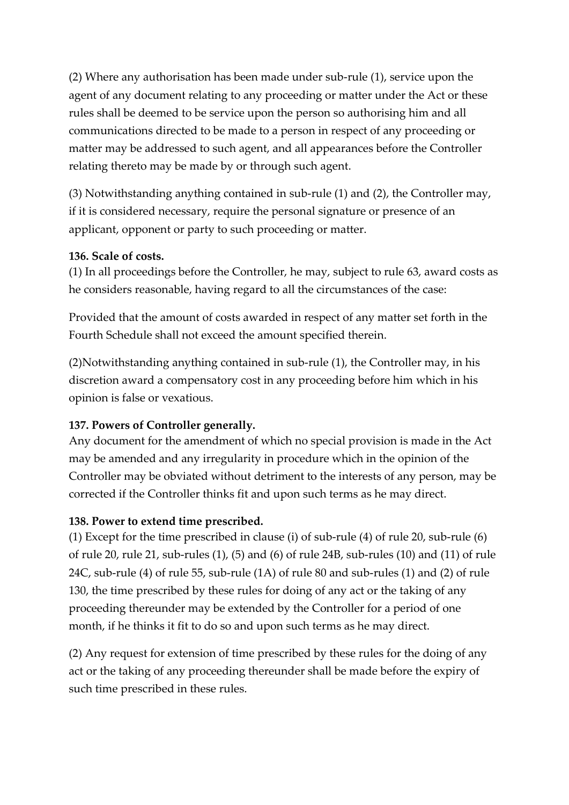(2) Where any authorisation has been made under sub-rule (1), service upon the agent of any document relating to any proceeding or matter under the Act or these rules shall be deemed to be service upon the person so authorising him and all communications directed to be made to a person in respect of any proceeding or matter may be addressed to such agent, and all appearances before the Controller relating thereto may be made by or through such agent.

(3) Notwithstanding anything contained in sub-rule (1) and (2), the Controller may, if it is considered necessary, require the personal signature or presence of an applicant, opponent or party to such proceeding or matter.

#### **136. Scale of costs.**

(1) In all proceedings before the Controller, he may, subject to rule 63, award costs as he considers reasonable, having regard to all the circumstances of the case:

Provided that the amount of costs awarded in respect of any matter set forth in the Fourth Schedule shall not exceed the amount specified therein.

(2)Notwithstanding anything contained in sub-rule (1), the Controller may, in his discretion award a compensatory cost in any proceeding before him which in his opinion is false or vexatious.

#### **137. Powers of Controller generally.**

Any document for the amendment of which no special provision is made in the Act may be amended and any irregularity in procedure which in the opinion of the Controller may be obviated without detriment to the interests of any person, may be corrected if the Controller thinks fit and upon such terms as he may direct.

#### **138. Power to extend time prescribed.**

(1) Except for the time prescribed in clause (i) of sub-rule (4) of rule 20, sub-rule (6) of rule 20, rule 21, sub-rules (1), (5) and (6) of rule 24B, sub-rules (10) and (11) of rule 24C, sub-rule (4) of rule 55, sub-rule (1A) of rule 80 and sub-rules (1) and (2) of rule 130, the time prescribed by these rules for doing of any act or the taking of any proceeding thereunder may be extended by the Controller for a period of one month, if he thinks it fit to do so and upon such terms as he may direct.

(2) Any request for extension of time prescribed by these rules for the doing of any act or the taking of any proceeding thereunder shall be made before the expiry of such time prescribed in these rules.